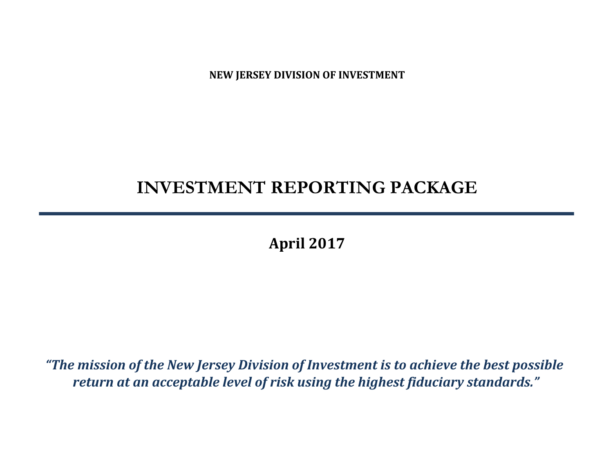**NEW JERSEY DIVISION OF INVESTMENT**

# **INVESTMENT REPORTING PACKAGE**

**April 2017**

*"The mission of the New Jersey Division of Investment is to achieve the best possible return at an acceptable level of risk using the highest fiduciary standards."*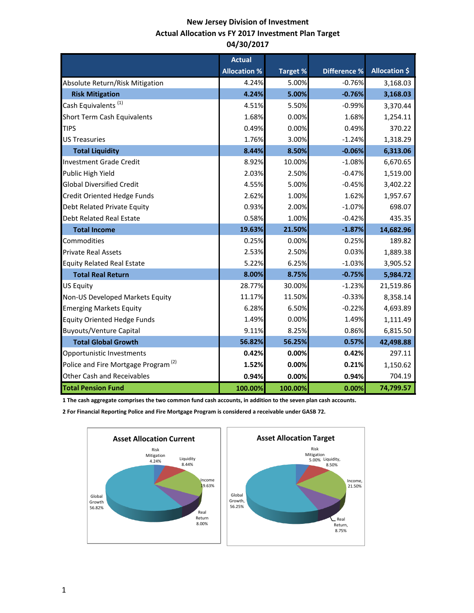# **New Jersey Division of Investment Actual Allocation vs FY 2017 Investment Plan Target 04/30/2017**

|                                                 | <b>Actual</b>       |                 |                     |                      |
|-------------------------------------------------|---------------------|-----------------|---------------------|----------------------|
|                                                 | <b>Allocation %</b> | <b>Target %</b> | <b>Difference %</b> | <b>Allocation \$</b> |
| Absolute Return/Risk Mitigation                 | 4.24%               | 5.00%           | $-0.76%$            | 3,168.03             |
| <b>Risk Mitigation</b>                          | 4.24%               | 5.00%           | $-0.76%$            | 3,168.03             |
| Cash Equivalents <sup>(1)</sup>                 | 4.51%               | 5.50%           | $-0.99%$            | 3,370.44             |
| Short Term Cash Equivalents                     | 1.68%               | 0.00%           | 1.68%               | 1,254.11             |
| <b>TIPS</b>                                     | 0.49%               | 0.00%           | 0.49%               | 370.22               |
| <b>US Treasuries</b>                            | 1.76%               | 3.00%           | $-1.24%$            | 1,318.29             |
| <b>Total Liquidity</b>                          | 8.44%               | 8.50%           | $-0.06%$            | 6,313.06             |
| <b>Investment Grade Credit</b>                  | 8.92%               | 10.00%          | $-1.08%$            | 6,670.65             |
| Public High Yield                               | 2.03%               | 2.50%           | $-0.47%$            | 1,519.00             |
| <b>Global Diversified Credit</b>                | 4.55%               | 5.00%           | $-0.45%$            | 3,402.22             |
| Credit Oriented Hedge Funds                     | 2.62%               | 1.00%           | 1.62%               | 1,957.67             |
| Debt Related Private Equity                     | 0.93%               | 2.00%           | $-1.07%$            | 698.07               |
| <b>Debt Related Real Estate</b>                 | 0.58%               | 1.00%           | $-0.42%$            | 435.35               |
| <b>Total Income</b>                             | 19.63%              | 21.50%          | $-1.87%$            | 14,682.96            |
| Commodities                                     | 0.25%               | 0.00%           | 0.25%               | 189.82               |
| <b>Private Real Assets</b>                      | 2.53%               | 2.50%           | 0.03%               | 1,889.38             |
| <b>Equity Related Real Estate</b>               | 5.22%               | 6.25%           | $-1.03%$            | 3,905.52             |
| <b>Total Real Return</b>                        | 8.00%               | 8.75%           | $-0.75%$            | 5,984.72             |
| <b>US Equity</b>                                | 28.77%              | 30.00%          | $-1.23%$            | 21,519.86            |
| Non-US Developed Markets Equity                 | 11.17%              | 11.50%          | $-0.33%$            | 8,358.14             |
| <b>Emerging Markets Equity</b>                  | 6.28%               | 6.50%           | $-0.22%$            | 4,693.89             |
| <b>Equity Oriented Hedge Funds</b>              | 1.49%               | 0.00%           | 1.49%               | 1,111.49             |
| <b>Buyouts/Venture Capital</b>                  | 9.11%               | 8.25%           | 0.86%               | 6,815.50             |
| <b>Total Global Growth</b>                      | 56.82%              | 56.25%          | 0.57%               | 42,498.88            |
| Opportunistic Investments                       | 0.42%               | 0.00%           | 0.42%               | 297.11               |
| Police and Fire Mortgage Program <sup>(2)</sup> | 1.52%               | 0.00%           | 0.21%               | 1,150.62             |
| <b>Other Cash and Receivables</b>               | 0.94%               | 0.00%           | 0.94%               | 704.19               |
| <b>Total Pension Fund</b>                       | 100.00%             | 100.00%         | 0.00%               | 74,799.57            |

**1 The cash aggregate comprises the two common fund cash accounts, in addition to the seven plan cash accounts.** 

**2 For Financial Reporting Police and Fire Mortgage Program is considered a receivable under GASB 72.**

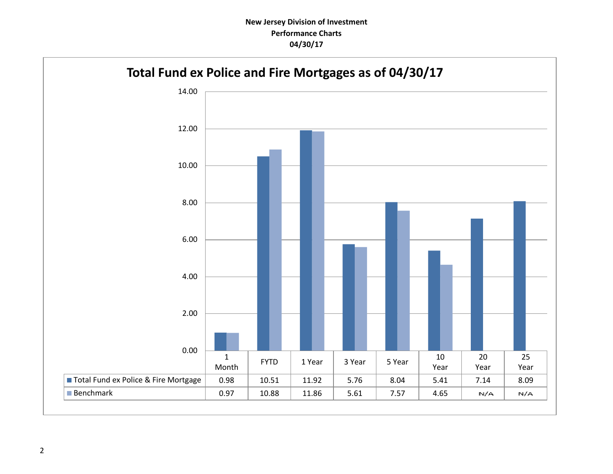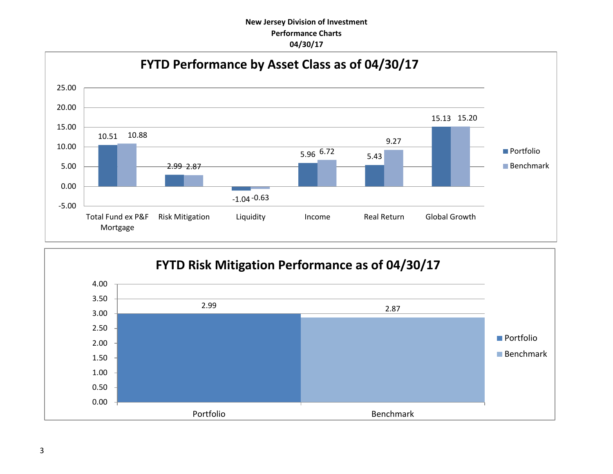# **New Jersey Division of Investment Performance Charts 04/30/17**



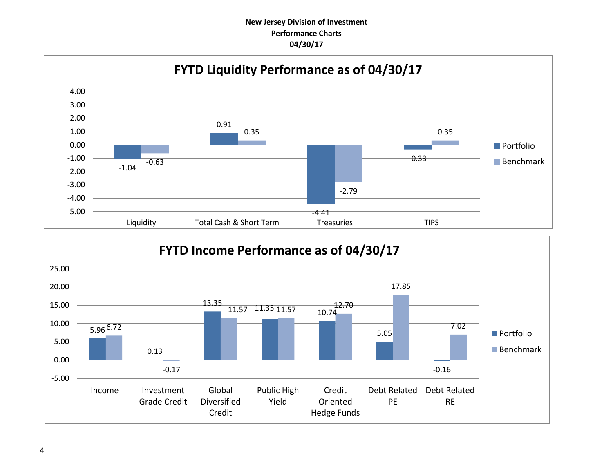# **New Jersey Division of Investment Performance Charts 04/30/17**



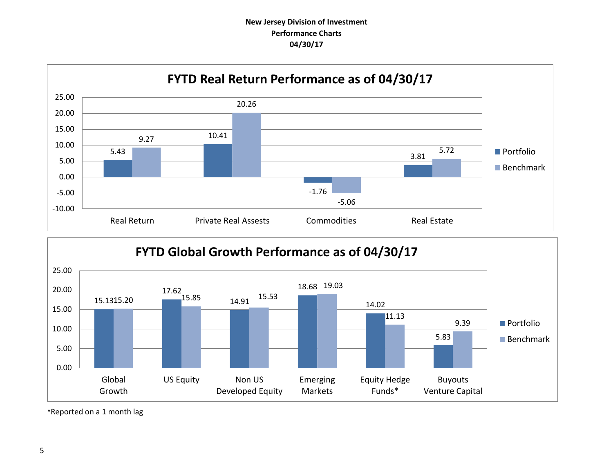# **New Jersey Division of Investment Performance Charts 04/30/17**





\*Reported on a 1 month lag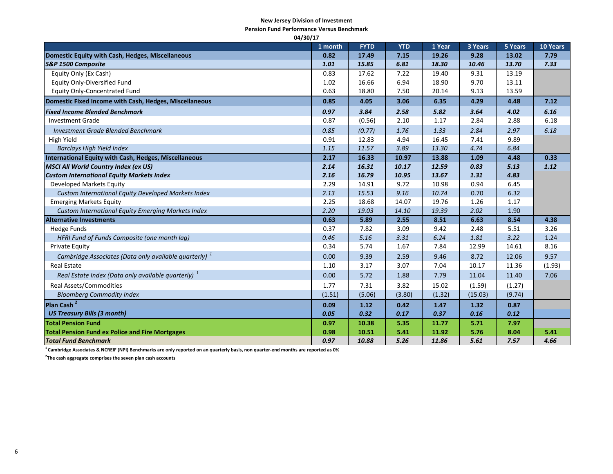#### **New Jersey Division of Investment**

**Pension Fund Performance Versus Benchmark**

| 04/30/17                                                          |         |             |            |        |         |         |          |  |
|-------------------------------------------------------------------|---------|-------------|------------|--------|---------|---------|----------|--|
|                                                                   | 1 month | <b>FYTD</b> | <b>YTD</b> | 1 Year | 3 Years | 5 Years | 10 Years |  |
| Domestic Equity with Cash, Hedges, Miscellaneous                  | 0.82    | 17.49       | 7.15       | 19.26  | 9.28    | 13.02   | 7.79     |  |
| S&P 1500 Composite                                                | 1.01    | 15.85       | 6.81       | 18.30  | 10.46   | 13.70   | 7.33     |  |
| Equity Only (Ex Cash)                                             | 0.83    | 17.62       | 7.22       | 19.40  | 9.31    | 13.19   |          |  |
| <b>Equity Only-Diversified Fund</b>                               | 1.02    | 16.66       | 6.94       | 18.90  | 9.70    | 13.11   |          |  |
| <b>Equity Only-Concentrated Fund</b>                              | 0.63    | 18.80       | 7.50       | 20.14  | 9.13    | 13.59   |          |  |
| Domestic Fixed Income with Cash, Hedges, Miscellaneous            | 0.85    | 4.05        | 3.06       | 6.35   | 4.29    | 4.48    | 7.12     |  |
| <b>Fixed Income Blended Benchmark</b>                             | 0.97    | 3.84        | 2.58       | 5.82   | 3.64    | 4.02    | 6.16     |  |
| <b>Investment Grade</b>                                           | 0.87    | (0.56)      | 2.10       | 1.17   | 2.84    | 2.88    | 6.18     |  |
| <b>Investment Grade Blended Benchmark</b>                         | 0.85    | (0.77)      | 1.76       | 1.33   | 2.84    | 2.97    | 6.18     |  |
| High Yield                                                        | 0.91    | 12.83       | 4.94       | 16.45  | 7.41    | 9.89    |          |  |
| <b>Barclays High Yield Index</b>                                  | 1.15    | 11.57       | 3.89       | 13.30  | 4.74    | 6.84    |          |  |
| <b>International Equity with Cash, Hedges, Miscellaneous</b>      | 2.17    | 16.33       | 10.97      | 13.88  | 1.09    | 4.48    | 0.33     |  |
| <b>MSCI All World Country Index (ex US)</b>                       | 2.14    | 16.31       | 10.17      | 12.59  | 0.83    | 5.13    | 1.12     |  |
| <b>Custom International Equity Markets Index</b>                  | 2.16    | 16.79       | 10.95      | 13.67  | 1.31    | 4.83    |          |  |
| Developed Markets Equity                                          | 2.29    | 14.91       | 9.72       | 10.98  | 0.94    | 6.45    |          |  |
| Custom International Equity Developed Markets Index               | 2.13    | 15.53       | 9.16       | 10.74  | 0.70    | 6.32    |          |  |
| <b>Emerging Markets Equity</b>                                    | 2.25    | 18.68       | 14.07      | 19.76  | 1.26    | 1.17    |          |  |
| Custom International Equity Emerging Markets Index                | 2.20    | 19.03       | 14.10      | 19.39  | 2.02    | 1.90    |          |  |
| <b>Alternative Investments</b>                                    | 0.63    | 5.89        | 2.55       | 8.51   | 6.63    | 8.54    | 4.38     |  |
| <b>Hedge Funds</b>                                                | 0.37    | 7.82        | 3.09       | 9.42   | 2.48    | 5.51    | 3.26     |  |
| HFRI Fund of Funds Composite (one month lag)                      | 0.46    | 5.16        | 3.31       | 6.24   | 1.81    | 3.22    | 1.24     |  |
| <b>Private Equity</b>                                             | 0.34    | 5.74        | 1.67       | 7.84   | 12.99   | 14.61   | 8.16     |  |
| Cambridge Associates (Data only available quarterly) <sup>1</sup> | 0.00    | 9.39        | 2.59       | 9.46   | 8.72    | 12.06   | 9.57     |  |
| <b>Real Estate</b>                                                | 1.10    | 3.17        | 3.07       | 7.04   | 10.17   | 11.36   | (1.93)   |  |
| Real Estate Index (Data only available quarterly) <sup>1</sup>    | 0.00    | 5.72        | 1.88       | 7.79   | 11.04   | 11.40   | 7.06     |  |
| <b>Real Assets/Commodities</b>                                    | 1.77    | 7.31        | 3.82       | 15.02  | (1.59)  | (1.27)  |          |  |
| <b>Bloomberg Commodity Index</b>                                  | (1.51)  | (5.06)      | (3.80)     | (1.32) | (15.03) | (9.74)  |          |  |
| Plan Cash <sup>2</sup>                                            | 0.09    | 1.12        | 0.42       | 1.47   | 1.32    | 0.87    |          |  |
| <b>US Treasury Bills (3 month)</b>                                | 0.05    | 0.32        | 0.17       | 0.37   | 0.16    | 0.12    |          |  |
| <b>Total Pension Fund</b>                                         | 0.97    | 10.38       | 5.35       | 11.77  | 5.71    | 7.97    |          |  |
| <b>Total Pension Fund ex Police and Fire Mortgages</b>            | 0.98    | 10.51       | 5.41       | 11.92  | 5.76    | 8.04    | 5.41     |  |
| <b>Total Fund Benchmark</b>                                       | 0.97    | 10.88       | 5.26       | 11.86  | 5.61    | 7.57    | 4.66     |  |

**<sup>1</sup>Cambridge Associates & NCREIF (NPI) Benchmarks are only reported on an quarterly basis, non quarter-end months are reported as 0%**

**2 The cash aggregate comprises the seven plan cash accounts**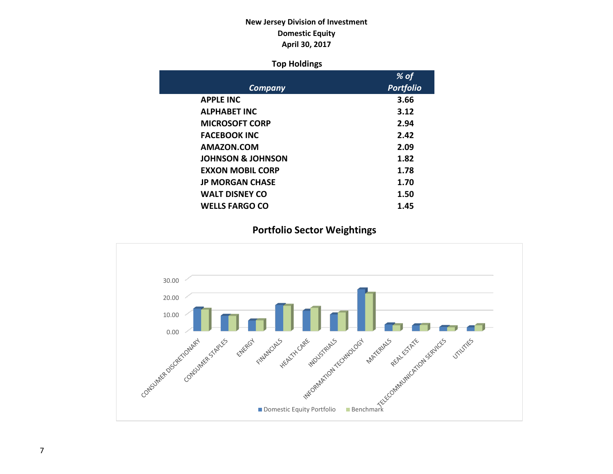# **New Jersey Division of Investment Domestic Equity April 30, 2017**

### **Top Holdings**

|                              | $%$ of           |
|------------------------------|------------------|
| <b>Company</b>               | <b>Portfolio</b> |
| <b>APPLE INC</b>             | 3.66             |
| <b>ALPHABET INC</b>          | 3.12             |
| <b>MICROSOFT CORP</b>        | 2.94             |
| <b>FACEBOOK INC</b>          | 2.42             |
| AMAZON.COM                   | 2.09             |
| <b>JOHNSON &amp; JOHNSON</b> | 1.82             |
| <b>EXXON MOBIL CORP</b>      | 1.78             |
| <b>JP MORGAN CHASE</b>       | 1.70             |
| <b>WALT DISNEY CO</b>        | 1.50             |
| <b>WELLS FARGO CO</b>        | 1.45             |

# **Portfolio Sector Weightings**

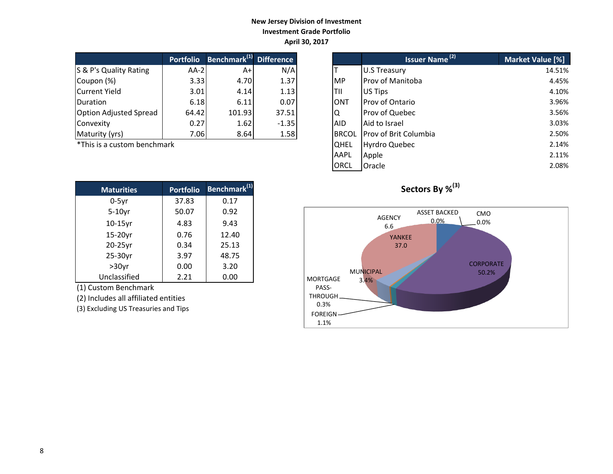### **New Jersey Division of Investment Investment Grade Portfolio April 30, 2017**

|                               | <b>Portfolio</b> | Benchmark <sup>(1)</sup> | <b>Difference</b> |
|-------------------------------|------------------|--------------------------|-------------------|
| S & P's Quality Rating        | $AA-2$           | A+                       | N/A               |
| Coupon (%)                    | 3.33             | 4.70                     | 1.37              |
| <b>Current Yield</b>          | 3.01             | 4.14                     | 1.13              |
| Duration                      | 6.18             | 6.11                     | 0.07              |
| <b>Option Adjusted Spread</b> | 64.42            | 101.93                   | 37.51             |
| Convexity                     | 0.27             | 1.62                     | $-1.35$           |
| Maturity (yrs)                | 7.06             | 8.64                     | 1.58              |

| <b>Maturities</b> | <b>Portfolio</b> | Benchmark <sup>(1)</sup> |
|-------------------|------------------|--------------------------|
| $0-5$ yr          | 37.83            | 0.17                     |
| $5-10$ yr         | 50.07            | 0.92                     |
| $10-15$ yr        | 4.83             | 9.43                     |
| 15-20yr           | 0.76             | 12.40                    |
| 20-25yr           | 0.34             | 25.13                    |
| 25-30yr           | 3.97             | 48.75                    |
| $>30$ yr          | 0.00             | 3.20                     |
| Unclassified      | 2.21             | 0.00                     |

(1) Custom Benchmark

(2) Includes all affiliated entities

(3) Excluding US Treasuries and Tips

|                             | <b>Portfolio</b> | Benchmark <sup>(1)</sup> Difference |         |              | <b>Issuer Name<sup>(2)</sup></b> | Market Value [%] |
|-----------------------------|------------------|-------------------------------------|---------|--------------|----------------------------------|------------------|
| S & P's Quality Rating      | $AA-2$           | $A+$                                | N/A     |              | <b>U.S Treasury</b>              | 14.51%           |
| Coupon (%)                  | 3.33             | 4.70                                | 1.37    | <b>IMP</b>   | <b>Prov of Manitoba</b>          | 4.45%            |
| Current Yield               | 3.01             | 4.14                                | 1.13    | ltii         | US Tips                          | 4.10%            |
| <b>Duration</b>             | 6.18             | 6.11                                | 0.07    | <b>ONT</b>   | <b>Prov of Ontario</b>           | 3.96%            |
| Option Adjusted Spread      | 64.42            | 101.93                              | 37.51   | IQ           | Prov of Quebec                   | 3.56%            |
| Convexity                   | 0.27             | 1.62                                | $-1.35$ | <b>AID</b>   | Aid to Israel                    | 3.03%            |
| Maturity (yrs)              | 7.06             | 8.64                                | 1.58    | <b>BRCOL</b> | <b>Prov of Brit Columbia</b>     | 2.50%            |
| *This is a custom benchmark |                  |                                     |         | <b>QHEL</b>  | <b>Hyrdro Quebec</b>             | 2.14%            |
|                             |                  |                                     |         | AAPL         | Apple                            | 2.11%            |
|                             |                  |                                     |         | ORCL         | Oracle                           | 2.08%            |



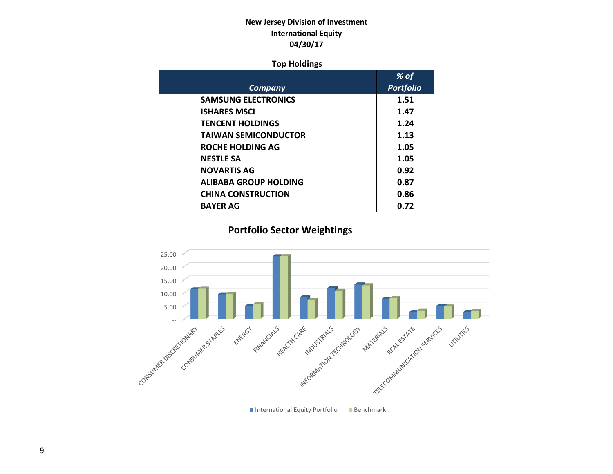# **New Jersey Division of Investment International Equity 04/30/17**

### **Top Holdings**

|                             | % of             |
|-----------------------------|------------------|
| Company                     | <b>Portfolio</b> |
| <b>SAMSUNG ELECTRONICS</b>  | 1.51             |
| <b>ISHARES MSCI</b>         | 1.47             |
| <b>TENCENT HOLDINGS</b>     | 1.24             |
| <b>TAIWAN SEMICONDUCTOR</b> | 1.13             |
| <b>ROCHE HOLDING AG</b>     | 1.05             |
| <b>NESTLE SA</b>            | 1.05             |
| <b>NOVARTIS AG</b>          | 0.92             |
| ALIBABA GROUP HOLDING       | 0.87             |
| <b>CHINA CONSTRUCTION</b>   | 0.86             |
| <b>BAYER AG</b>             | 0.72             |

# **Portfolio Sector Weightings**

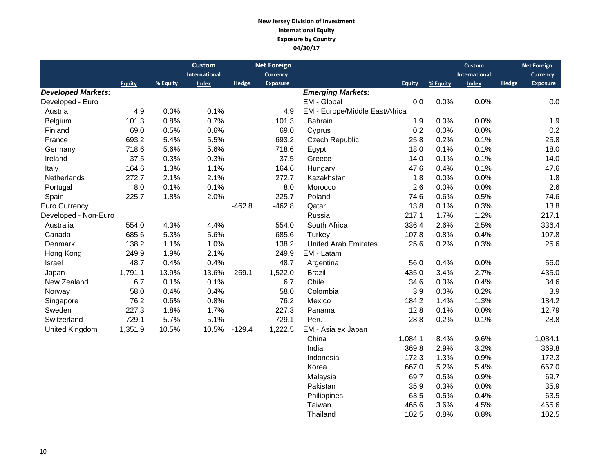#### **New Jersey Division of Investment International Equity Exposure by Country 04/30/17**

|                           |               |          | <b>Custom</b> |          | <b>Net Foreign</b> |                                |               |          | <b>Custom</b> |       | <b>Net Foreign</b> |
|---------------------------|---------------|----------|---------------|----------|--------------------|--------------------------------|---------------|----------|---------------|-------|--------------------|
|                           |               |          | International |          | <b>Currency</b>    |                                |               |          | International |       | <b>Currency</b>    |
|                           | <b>Equity</b> | % Equity | <b>Index</b>  | Hedge    | <b>Exposure</b>    |                                | <b>Equity</b> | % Equity | <b>Index</b>  | Hedge | <b>Exposure</b>    |
| <b>Developed Markets:</b> |               |          |               |          |                    | <b>Emerging Markets:</b>       |               |          |               |       |                    |
| Developed - Euro          |               |          |               |          |                    | EM - Global                    | 0.0           | 0.0%     | 0.0%          |       | 0.0                |
| Austria                   | 4.9           | 0.0%     | 0.1%          |          | 4.9                | EM - Europe/Middle East/Africa |               |          |               |       |                    |
| Belgium                   | 101.3         | 0.8%     | 0.7%          |          | 101.3              | <b>Bahrain</b>                 | 1.9           | 0.0%     | 0.0%          |       | 1.9                |
| Finland                   | 69.0          | 0.5%     | 0.6%          |          | 69.0               | Cyprus                         | 0.2           | 0.0%     | 0.0%          |       | 0.2                |
| France                    | 693.2         | 5.4%     | 5.5%          |          | 693.2              | Czech Republic                 | 25.8          | 0.2%     | 0.1%          |       | 25.8               |
| Germany                   | 718.6         | 5.6%     | 5.6%          |          | 718.6              | Egypt                          | 18.0          | 0.1%     | 0.1%          |       | 18.0               |
| Ireland                   | 37.5          | 0.3%     | 0.3%          |          | 37.5               | Greece                         | 14.0          | 0.1%     | 0.1%          |       | 14.0               |
| Italy                     | 164.6         | 1.3%     | 1.1%          |          | 164.6              | Hungary                        | 47.6          | 0.4%     | 0.1%          |       | 47.6               |
| Netherlands               | 272.7         | 2.1%     | 2.1%          |          | 272.7              | Kazakhstan                     | 1.8           | 0.0%     | 0.0%          |       | 1.8                |
| Portugal                  | 8.0           | 0.1%     | 0.1%          |          | 8.0                | Morocco                        | 2.6           | 0.0%     | 0.0%          |       | 2.6                |
| Spain                     | 225.7         | 1.8%     | 2.0%          |          | 225.7              | Poland                         | 74.6          | 0.6%     | 0.5%          |       | 74.6               |
| Euro Currency             |               |          |               | $-462.8$ | $-462.8$           | Qatar                          | 13.8          | 0.1%     | 0.3%          |       | 13.8               |
| Developed - Non-Euro      |               |          |               |          |                    | Russia                         | 217.1         | 1.7%     | 1.2%          |       | 217.1              |
| Australia                 | 554.0         | 4.3%     | 4.4%          |          | 554.0              | South Africa                   | 336.4         | 2.6%     | 2.5%          |       | 336.4              |
| Canada                    | 685.6         | 5.3%     | 5.6%          |          | 685.6              | Turkey                         | 107.8         | 0.8%     | 0.4%          |       | 107.8              |
| Denmark                   | 138.2         | 1.1%     | 1.0%          |          | 138.2              | <b>United Arab Emirates</b>    | 25.6          | 0.2%     | 0.3%          |       | 25.6               |
| Hong Kong                 | 249.9         | 1.9%     | 2.1%          |          | 249.9              | EM - Latam                     |               |          |               |       |                    |
| Israel                    | 48.7          | 0.4%     | 0.4%          |          | 48.7               | Argentina                      | 56.0          | 0.4%     | 0.0%          |       | 56.0               |
| Japan                     | 1,791.1       | 13.9%    | 13.6%         | $-269.1$ | 1,522.0            | <b>Brazil</b>                  | 435.0         | 3.4%     | 2.7%          |       | 435.0              |
| New Zealand               | 6.7           | 0.1%     | 0.1%          |          | 6.7                | Chile                          | 34.6          | 0.3%     | 0.4%          |       | 34.6               |
| Norway                    | 58.0          | 0.4%     | 0.4%          |          | 58.0               | Colombia                       | 3.9           | 0.0%     | 0.2%          |       | 3.9                |
| Singapore                 | 76.2          | 0.6%     | 0.8%          |          | 76.2               | Mexico                         | 184.2         | 1.4%     | 1.3%          |       | 184.2              |
| Sweden                    | 227.3         | 1.8%     | 1.7%          |          | 227.3              | Panama                         | 12.8          | 0.1%     | 0.0%          |       | 12.79              |
| Switzerland               | 729.1         | 5.7%     | 5.1%          |          | 729.1              | Peru                           | 28.8          | 0.2%     | 0.1%          |       | 28.8               |
| United Kingdom            | 1,351.9       | 10.5%    | 10.5%         | $-129.4$ | 1,222.5            | EM - Asia ex Japan             |               |          |               |       |                    |
|                           |               |          |               |          |                    | China                          | 1,084.1       | 8.4%     | 9.6%          |       | 1,084.1            |
|                           |               |          |               |          |                    | India                          | 369.8         | 2.9%     | 3.2%          |       | 369.8              |
|                           |               |          |               |          |                    | Indonesia                      | 172.3         | 1.3%     | 0.9%          |       | 172.3              |
|                           |               |          |               |          |                    | Korea                          | 667.0         | 5.2%     | 5.4%          |       | 667.0              |
|                           |               |          |               |          |                    | Malaysia                       | 69.7          | 0.5%     | 0.9%          |       | 69.7               |
|                           |               |          |               |          |                    | Pakistan                       | 35.9          | 0.3%     | 0.0%          |       | 35.9               |
|                           |               |          |               |          |                    | Philippines                    | 63.5          | 0.5%     | 0.4%          |       | 63.5               |

Philippines 63.5 0.5% 0.4% 63.5<br>Taiwan 465.6 3.6% 4.5% 465.6

Thailand 102.5 0.8% 0.8% 102.5

Taiwan 465.6 3.6%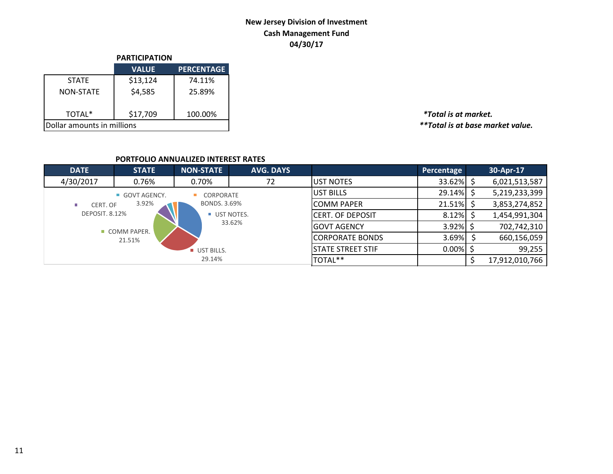# **New Jersey Division of Investment Cash Management Fund 04/30/17**

|                            | <b>PARTICIPATION</b> |                   |  |  |  |  |
|----------------------------|----------------------|-------------------|--|--|--|--|
|                            | <b>VALUE</b>         | <b>PERCENTAGE</b> |  |  |  |  |
| <b>STATF</b>               | \$13,124             | 74.11%            |  |  |  |  |
| <b>NON-STATE</b>           | \$4,585              | 25.89%            |  |  |  |  |
| TOTAL*                     | \$17,709             | 100.00%           |  |  |  |  |
| Dollar amounts in millions |                      |                   |  |  |  |  |

TOTAL\* \$17,709 100.00% *\*Total is at market.*  $*$ \*Total is at base market value.

### **PORTFOLIO ANNUALIZED INTEREST RATES**

| <b>DATE</b>    | <b>STATE</b> | <b>NON-STATE</b>  | <b>AVG. DAYS</b> |                          | Percentage   | 30-Apr-17      |
|----------------|--------------|-------------------|------------------|--------------------------|--------------|----------------|
| 4/30/2017      | 0.76%        | 0.70%             | 72               | <b>JUST NOTES</b>        | $33.62\%$ \$ | 6,021,513,587  |
|                | GOVT AGENCY. | CORPORATE         |                  | UST BILLS                | $29.14\%$ \$ | 5,219,233,399  |
| CERT. OF       | 3.92%        | BONDS, 3.69%      |                  | <b>COMM PAPER</b>        | $21.51\%$ \$ | 3,853,274,852  |
| DEPOSIT. 8.12% |              | UST NOTES.        |                  | CERT. OF DEPOSIT         | 8.12%        | 1,454,991,304  |
|                | COMM PAPER.  |                   | 33.62%           | <b>GOVT AGENCY</b>       | $3.92\%$ \$  | 702,742,310    |
|                | 21.51%       |                   |                  | <b>CORPORATE BONDS</b>   | 3.69%        | 660,156,059    |
|                |              | <b>UST BILLS.</b> |                  | <b>STATE STREET STIF</b> | $0.00\%$     | 99,255         |
|                |              | 29.14%            |                  | TOTAL**                  |              | 17,912,010,766 |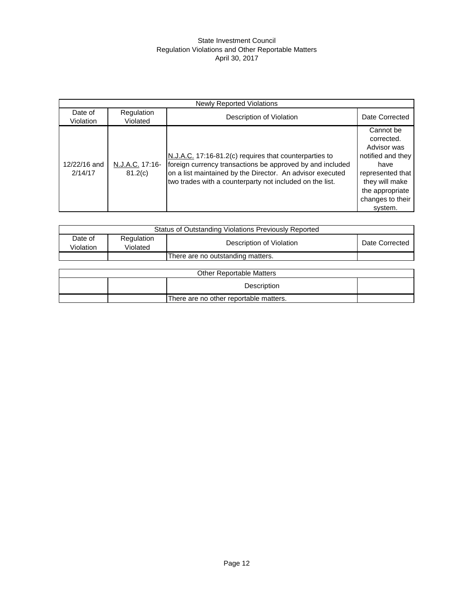#### State Investment Council Regulation Violations and Other Reportable Matters April 30, 2017

| <b>Newly Reported Violations</b> |                            |                                                                                                                                                                                                                                              |                                                                                                                                                             |  |  |  |
|----------------------------------|----------------------------|----------------------------------------------------------------------------------------------------------------------------------------------------------------------------------------------------------------------------------------------|-------------------------------------------------------------------------------------------------------------------------------------------------------------|--|--|--|
| Date of<br>Violation             | Regulation<br>Violated     | Description of Violation                                                                                                                                                                                                                     | Date Corrected                                                                                                                                              |  |  |  |
| 12/22/16 and<br>2/14/17          | N.J.A.C. 17:16-<br>81.2(c) | N.J.A.C. 17:16-81.2(c) requires that counterparties to<br>foreign currency transactions be approved by and included<br>on a list maintained by the Director. An advisor executed<br>two trades with a counterparty not included on the list. | Cannot be<br>corrected.<br>Advisor was<br>notified and they<br>have<br>represented that<br>they will make<br>the appropriate<br>changes to their<br>system. |  |  |  |

| Status of Outstanding Violations Previously Reported |                        |                                   |                |  |  |  |
|------------------------------------------------------|------------------------|-----------------------------------|----------------|--|--|--|
| Date of<br>Violation                                 | Regulation<br>Violated | Description of Violation          | Date Corrected |  |  |  |
|                                                      |                        | There are no outstanding matters. |                |  |  |  |

| <b>Other Reportable Matters</b> |                                        |  |  |  |  |  |  |
|---------------------------------|----------------------------------------|--|--|--|--|--|--|
|                                 | Description                            |  |  |  |  |  |  |
|                                 | There are no other reportable matters. |  |  |  |  |  |  |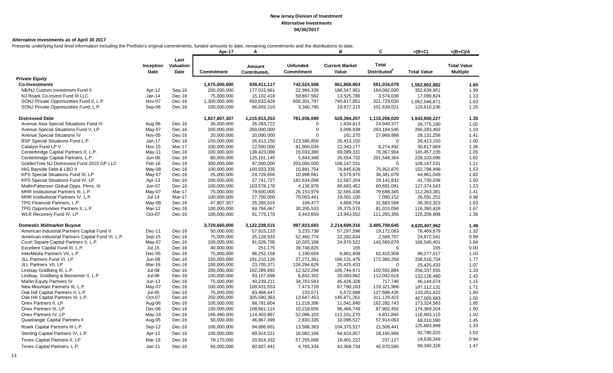#### **Alternative Investments as of April 30 2017**

Presents underlying fund level information including the Portfolio's original commitments, funded amounts to date, remaining commitments and the distributions to date.

|                                                    |                   |                           | Apr-17            | Α                                  |                                      | в                              | C                                        | $=(B+C)$           | $=(B+C)/A$                            |
|----------------------------------------------------|-------------------|---------------------------|-------------------|------------------------------------|--------------------------------------|--------------------------------|------------------------------------------|--------------------|---------------------------------------|
|                                                    | Inception<br>Date | Last<br>Valuation<br>Date | <b>Commitment</b> | Amount<br>Contributed <sub>1</sub> | <b>Unfunded</b><br><b>Commitment</b> | <b>Current Market</b><br>Value | <b>Total</b><br>Distributed <sup>2</sup> | <b>Total Value</b> | <b>Total Value</b><br><b>Multiple</b> |
| <b>Private Equity</b>                              |                   |                           |                   |                                    |                                      |                                |                                          |                    |                                       |
| <b>Co-Investments</b>                              |                   |                           | 1,675,000,000     | 939,411,117                        | 742,524,508                          | 961,868,803                    | 591,034,079                              | 1,552,902,882      | 1.65                                  |
| NB/NJ Custom Investment Fund II                    | Apr-12            | Sep-16                    | 200,000,000       | 177,015,661                        | 22,984,339                           | 188,547,951                    | 164,092,000                              | 352,639,951        | 1.99                                  |
| NJ Roark Co-Invest Fund III LLC                    | Jan-14            | Dec-16                    | 75,000,000        | 15,102,418                         | 59,897,582                           | 13,525,786                     | 3,574,038                                | 17,099,824         | 1.13                                  |
| SONJ Private Opportunities Fund II, L.P.           | Nov-07            | Dec-16                    | 1,300,000,000     | 650,633,828                        | 656,301,797                          | 740,817,851                    | 321,729,020                              | 1,062,546,871      | 1.63                                  |
| SONJ Private Opportunities Fund, L.P.              | Sep-06            | Dec-16                    | 100,000,000       | 96,659,210                         | 3,340,790                            | 18,977,215                     | 101,639,021                              | 120,616,236        | 1.25                                  |
| <b>Distressed Debt</b>                             |                   |                           | 1,827,807,307     | 1,215,913,253                      | 781,936,099                          | 528,394,207                    | 1,115,206,020                            | 1,643,600,227      | 1.35                                  |
| Avenue Asia Special Situations Fund IV             | Aug-06            | Dec-16                    | 30,000,000        | 26,283,722                         | $\Omega$                             | 1,834,813                      | 24,940,377                               | 26,775,190         | 1.02                                  |
| Avenue Special Situations Fund V, LP               | May-07            | Dec-16                    | 200,000,000       | 200,000,000                        | $\mathbf 0$                          | 3,098,938                      | 263,184,545                              | 266,283,483        | 1.33                                  |
| <b>Avenue Special Situations IV</b>                | Nov-05            | Dec-16                    | 20,000,000        | 20,000,000                         | $\Omega$                             | 161,270                        | 27,969,988                               | 28,131,258         | 1.41                                  |
| BSP Special Situations Fund L.P.                   | $Jan-17$          | Dec-16                    | 150,000,000       | 26,413,150                         | 123,586,850                          | 26,413,150                     | $\Omega$                                 | 26,413,150         | 1.00                                  |
| Catalyst Fund LP V                                 | <b>Nov-15</b>     | Mar-17                    | 100,000,000       | 22,500,000                         | 81,900,034                           | 22,343,177                     | 8,274,492                                | 30,617,669         | 1.36                                  |
| Centerbridge Capital Partners II, L.P.             | May-11            | Dec-16                    | 100,000,000       | 138,423,088                        | 15,033,380                           | 69,089,331                     | 76,367,904                               | 145, 457, 235      | 1.05                                  |
| Centerbridge Capital Partners, L.P.                | Jun-06            | Dec-16                    | 80,000,000        | 125,101,145                        | 5,843,348                            | 26,554,732                     | 201,548,364                              | 228,103,096        | 1.82                                  |
| GoldenTree NJ Distressed Fund 2015 GP LLC          | Feb-16            | Dec-16                    | 300,000,000       | 97,000,000                         | 203,000,000                          | 108,147,531                    | $\mathbf 0$                              | 108,147,531        | 1.11                                  |
| HIG Bayside Debt & LBO II                          | May-08            | Dec-16                    | 100,000,000       | 100,033,335                        | 15,891,754                           | 76,845,628                     | 75,952,870                               | 152,798,498        | 1.53                                  |
| KPS Special Situations Fund III, LP                | May-07            | Dec-16                    | 25,000,000        | 24,729,656                         | 10,998,661                           | 8,579,970                      | 36,381,079                               | 44,961,049         | 1.82                                  |
| KPS Special Situations Fund IV, LP                 | Apr-13            | Dec-16                    | 200,000,000       | 27,741,727                         | 182,634,008                          | 12,587,204                     | 29,142,832                               | 41,730,036         | 1.50                                  |
| MatlinPatterson Global Opps. Ptnrs. III            | Jun-07            | Dec-16                    | 100,000,000       | 103,578,178                        | 4,136,976                            | 66,683,452                     | 60,691,091                               | 127,374,543        | 1.23                                  |
| MHR Institutional Partners III, L.P.               | May-07            | Mar-17                    | 75,000,000        | 79,500,000                         | 26,153,979                           | 32,565,036                     | 79,698,345                               | 112,263,381        | 1.41                                  |
| MHR Institutional Partners IV, L.P.                | $Jul-14$          | Mar-17                    | 100,000,000       | 27,750,000                         | 79,003,441                           | 19,501,100                     | 7,090,152                                | 26,591,252         | 0.96                                  |
| TPG Financial Partners, L.P.                       | May-08            | Dec-16                    | 47,807,307        | 35,285,615                         | 104,477                              | 4,669,754                      | 31,683,569                               | 36,353,323         | 1.03                                  |
| TPG Opportunities Partners II, L.P.                | Mar-12            | Dec-16                    | 100,000,000       | 69,794,467                         | 30,205,533                           | 35,375,570                     | 81,015,056                               | 116,390,626        | 1.67                                  |
| WLR Recovery Fund IV, LP                           | Oct-07            | Dec-16                    | 100,000,000       | 91,779,170                         | 3,443,659                            | 13,943,552                     | 111,265,356                              | 125,208,908        | 1.36                                  |
| <b>Domestic Midmarket Buyout</b>                   |                   |                           | 3,729,660,000     | 3,122,238,515                      | 997,823,683                          | 2,214,699,316                  | 2,405,708,645                            | 4,620,407,962      | 1.48                                  |
| American Industrial Partners Capital Fund V        | Dec-11            | Dec-16                    | 50,000,000        | 57,915,133                         | 3,233,738                            | 57,297,596                     | 19,172,083                               | 76,469,679         | 1.32                                  |
| American Industrial Partners Capital Fund VI, L.P. | Sep-15            | Dec-16                    | 75,000,000        | 25,128,933                         | 52,460,774                           | 22,282,834                     | 2,589,707                                | 24,872,541         | 0.99                                  |
| Court Square Capital Partners II, L.P.             | May-07            | Dec-16                    | 100,000,000       | 91,528,705                         | 10,025,168                           | 24,970,522                     | 143,569,879                              | 168,540,401        | 1.84                                  |
| Excellere Capital Fund III, L.P.                   | $Jul-15$          | Dec-16                    | 40,000,000        | 251,175                            | 39,748,825                           | 155                            | $\mathbf 0$                              | 155                | 0.00                                  |
| InterMedia Partners VII, L.P.                      | $Dec-05$          | Dec-16                    | 75,000,000        | 96,252,158                         | 1,190,669                            | 6,861,608                      | 92,415,909                               | 99,277,517         | 1.03                                  |
| JLL Partners Fund VI, LP                           | <b>Jun-08</b>     | Dec-16                    | 150,000,000       | 191,210,126                        | 27,271,361                           | 166, 131, 476                  | 172,385,258                              | 338,516,734        | 1.77                                  |
| JLL Partners VII, LP                               | Mar-16            | Dec-16                    | 150,000,000       | 23,705,371                         | 126,294,629                          | 25,425,433                     | $\Omega$                                 | 25,425,433         | 1.07                                  |
| Lindsay Goldberg III, L.P.                         | Jul-08            | Dec-16                    | 200,000,000       | 192,289,692                        | 12,523,294                           | 105,744,671                    | 150,592,884                              | 256,337,555        | 1.33                                  |
| Lindsay, Goldberg & Bessemer II, L.P.              | Jul-06            | Dec-16                    | 100,000,000       | 93,157,698                         | 6,842,302                            | 20,083,862                     | 112,042,618                              | 132,126,480        | 1.42                                  |
| Marlin Equity Partners IV                          | $Jun-13$          | Dec-16                    | 75,000,000        | 40,239,211                         | 34,763,583                           | 45,426,328                     | 717,746                                  | 46,144,074         | 1.15                                  |
| New Mountain Partners III, L.P.                    | May-07            | Dec-16                    | 100,000,000       | 109,431,553                        | 7,473,728                            | 67,790,163                     | 119,321,968                              | 187, 112, 131      | 1.71                                  |
| Oak Hill Capital Partners II, L.P.                 | <b>Jul-05</b>     | Dec-16                    | 75,000,000        | 83,468,447                         | 233,571                              | 5,572,988                      | 127,688,435                              | 133,261,422        | 1.60                                  |
| Oak Hill Capital Partners III, L.P.                | Oct-07            | Dec-16                    | 250,000,000       | 305,590,363                        | 13,647,453                           | 145,871,261                    | 311,129,422                              | 457,000,683        | 1.50                                  |
| Onex Partners II, LP                               | Aug-06            | Dec-16                    | 100,000,000       | 88,781,604                         | 11,218,396                           | 11,041,840                     | 162,282,743                              | 173,324,583        | 1.95                                  |
| Onex Partners III, LP                              | Dec-08            | Dec-16                    | 100,000,000       | 108,661,114                        | 10,218,605                           | 86,466,749                     | 87,902,455                               | 174,369,204        | 1.60                                  |
| Onex Partners IV, LP                               | May-14            | Dec-16                    | 166,490,000       | 114,403,897                        | 52,086,103                           | 112, 151, 270                  | 4,831,845                                | 116,983,115        | 1.02                                  |
| Quadrangle Capital Partners II                     | Aug-05            | Dec-16                    | 50,000,000        | 46,867,499                         | 2,830,335                            | 10,096,527                     | 57,914,063                               | 68,010,590         | 1.45                                  |
| Roark Capital Partners III L.P.                    | Sep-12            | Dec-16                    | 100,000,000       | 94,886,601                         | 13,588,383                           | 104,375,527                    | 21,508,441                               | 125,883,968        | 1.33                                  |
| Sterling Capital Partners IV, L.P.                 | Apr-12            | Dec-16                    | 100,000,000       | 89,914,521                         | 16,082,168                           | 64,624,057                     | 28,165,968                               | 92,790,025         | 1.03                                  |
| Tenex Capital Partners II, LP                      | Mar-16            | Dec-16                    | 78,170,000        | 20,914,332                         | 57,255,668                           | 19,401,222                     | 237,127                                  | 19,638,349         | 0.94                                  |
|                                                    | $Jan-11$          |                           | 50,000,000        | 60,607,441                         | 4,765,334                            | 43,369,734                     | 45,970,595                               | 89,340,328         | 1.47                                  |
| Tenex Capital Partners, L.P.                       |                   | Dec-16                    |                   |                                    |                                      |                                |                                          |                    |                                       |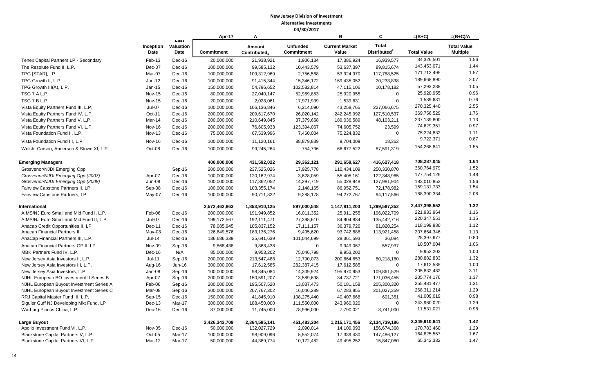|                                          |                   |                           | Apr-17            | A                                  |                                      | в                              | $\mathbf{C}$                             | $=(B+C)$           | $=(B+C)/A$                            |
|------------------------------------------|-------------------|---------------------------|-------------------|------------------------------------|--------------------------------------|--------------------------------|------------------------------------------|--------------------|---------------------------------------|
|                                          | Inception<br>Date | Last<br>Valuation<br>Date | <b>Commitment</b> | Amount<br>Contributed <sub>1</sub> | <b>Unfunded</b><br><b>Commitment</b> | <b>Current Market</b><br>Value | <b>Total</b><br>Distributed <sup>2</sup> | <b>Total Value</b> | <b>Total Value</b><br><b>Multiple</b> |
| Tenex Capital Partners LP - Secondary    | Feb-13            | Dec-16                    | 20,000,000        | 21,938,921                         | 1,906,134                            | 17,386,924                     | 16,939,577                               | 34,326,501         | 1.56                                  |
| The Resolute Fund II, L.P.               | Dec-07            | Dec-16                    | 100,000,000       | 99,585,132                         | 10,443,579                           | 53,637,397                     | 89,815,674                               | 143,453,071        | 1.44                                  |
| TPG [STAR], LP                           | Mar-07            | Dec-16                    | 100,000,000       | 109,312,969                        | 2,756,568                            | 53,924,970                     | 117,788,525                              | 171,713,495        | 1.57                                  |
| TPG Growth II, L.P.                      | Jun-12            | Dec-16                    | 100,000,000       | 91,415,344                         | 15,346,172                           | 169,435,052                    | 20,233,838                               | 189,668,890        | 2.07                                  |
| TPG Growth III(A), L.P.                  | Jan-15            | Dec-16                    | 150,000,000       | 54,796,652                         | 102,582,814                          | 47,115,106                     | 10,178,182                               | 57,293,288         | 1.05                                  |
| TSG 7 A L.P.                             | <b>Nov-15</b>     | Dec-16                    | 80,000,000        | 27,040,147                         | 52,959,853                           | 25,920,955                     | $\mathbf 0$                              | 25,920,955         | 0.96                                  |
| TSG 7 B L.P.                             | <b>Nov-15</b>     | $Dec-16$                  | 20,000,000        | 2,028,061                          | 17,971,939                           | 1,539,631                      | $\mathbf 0$                              | 1,539,631          | 0.76                                  |
| Vista Equity Partners Fund III, L.P.     | $Jul-07$          | Dec-16                    | 100,000,000       | 106,136,846                        | 6,214,090                            | 43,258,765                     | 227,066,675                              | 270,325,440        | 2.55                                  |
| Vista Equity Partners Fund IV, L.P.      | Oct-11            | $Dec-16$                  | 200,000,000       | 209,617,670                        | 26,020,142                           | 242,245,992                    | 127,510,537                              | 369,756,529        | 1.76                                  |
| Vista Equity Partners Fund V, L.P.       | Mar-14            | Dec-16                    | 200,000,000       | 210,649,845                        | 37,379,658                           | 189,036,589                    | 48,103,211                               | 237,139,800        | 1.13                                  |
| Vista Equity Partners Fund VI, L.P.      | <b>Nov-16</b>     | Dec-16                    | 200,000,000       | 76,605,933                         | 123,394,067                          | 74,605,752                     | 23,599                                   | 74,629,351         | 0.97                                  |
| Vista Foundation Fund II, L.P.           | <b>Nov-13</b>     | Dec-16                    | 75,000,000        | 67,539,996                         | 7,460,004                            | 75,224,832                     | $\mathbf 0$                              | 75,224,832         | 1.11                                  |
| Vista Foundation Fund III, L.P.          | <b>Nov-16</b>     | Dec-16                    | 100,000,000       | 11,120,161                         | 88,879,839                           | 9,704,009                      | 18,362                                   | 9,722,371          | 0.87                                  |
| Welsh, Carson, Anderson & Stowe XI, L.P. | Oct-08            | Dec-16                    | 100,000,000       | 99,245,264                         | 754,736                              | 66,677,522                     | 87,591,319                               | 154,268,841        | 1.55                                  |
| <b>Emerging Managers</b>                 |                   |                           | 400,000,000       | 431,592,022                        | 29,362,121                           | 291,659,627                    | 416,627,418                              | 708,287,045        | 1.64                                  |
| Grosvenor/NJDI Emerging Opp              |                   | Sep-16                    | 200,000,000       | 237,525,026                        | 17,925,778                           | 110,434,109                    | 250,330,870                              | 360,764,979        | 1.52                                  |
| Grosvenor/NJDI Emerging Opp (2007)       | Apr-07            | Dec-16                    | 100,000,000       | 120,162,974                        | 3,628,059                            | 55,405,161                     | 122,348,965                              | 177,754,126        | 1.48                                  |
| Grosvenor/NJDI Emerging Opp (2008)       | <b>Jun-08</b>     | Dec-16                    | 100,000,000       | 117,362,052                        | 14,297,719                           | 55,028,948                     | 127,981,904                              | 183,010,852        | 1.56                                  |
| Fairview Capstone Partners II, LP        | Sep-08            | Dec-16                    | 100,000,000       | 103,355,174                        | 2,148,165                            | 86,952,751                     | 72,178,982                               | 159, 131, 733      | 1.54                                  |
| Fairview Capstone Partners, LP           | May-07            | Dec-16                    | 100,000,000       | 90,711,822                         | 9,288,178                            | 94,272,767                     | 94,117,566                               | 188,390,334        | 2.08                                  |
| International                            |                   |                           | 2,572,462,863     | 1,853,910,125                      | 897,000,548                          | 1,147,811,200                  | 1,299,587,352                            | 2,447,398,552      | 1.32                                  |
| AIMS/NJ Euro Small and Mid Fund I, L.P.  | Feb-06            | Dec-16                    | 200,000,000       | 191,949,852                        | 16,011,352                           | 25,911,255                     | 196,022,709                              | 221,933,964        | 1.16                                  |
| AIMS/NJ Euro Small and Mid Fund II, L.P. | <b>Jul-07</b>     | Dec-16                    | 199,172,567       | 192,111,471                        | 27,398,610                           | 84,904,834                     | 135,442,716                              | 220,347,551        | 1.15                                  |
| Anacap Credit Opportunities II, LP       | Dec-11            | Dec-16                    | 78,085,945        | 105,837,152                        | 17,111,157                           | 36,379,726                     | 81,820,254                               | 118,199,980        | 1.12                                  |
| Anacap Financial Partners II             | May-08            | Dec-16                    | 126,649,576       | 183, 136, 276                      | 9,405,620                            | 93,742,888                     | 113,921,458                              | 207,664,346        | 1.13                                  |
| AnaCap Financial Partners III, L.P.      | $Jul-14$          | Dec-16                    | 136,686,339       | 35,641,639                         | 101,044,699                          | 28,361,593                     | 36,084                                   | 28,397,677         | 0.80                                  |
| Anacap Financial Partners GP II, LP      | Nov-09            | Sep-16                    | 9,868,438         | 9,868,438                          | $\Omega$                             | 9,949,067                      | 557,937                                  | 10,507,004         | 1.06                                  |
| MBK Partners Fund IV, L.P.               | Dec-16            | N/A                       | 85,000,000        | 9,953,202                          | 75,046,798                           | 9,953,202                      | $\mathbf 0$                              | 9,953,202          | 1.00                                  |
| New Jersey Asia Investors II, L.P.       | $Jul-11$          | Sep-16                    | 200,000,000       | 213,547,488                        | 12,790,073                           | 200,664,653                    | 80,218,180                               | 280,882,833        | 1.32                                  |
| New Jersey Asia Investors III, L.P.      | Aug-16            | Jun-16                    | 300,000,000       | 17,612,585                         | 282,387,415                          | 17,612,585                     | $\mathbf 0$                              | 17,612,585         | 1.00                                  |
| New Jersey Asia Investors, L.P.          | Jan-08            | Sep-16                    | 100,000,000       | 98,345,084                         | 14,309,924                           | 195,970,953                    | 109,861,529                              | 305,832,482        | 3.11                                  |
| NJHL European BO Investment II Series B  | Apr-07            | Sep-16                    | 200,000,000       | 150,591,207                        | 13,589,698                           | 34,737,721                     | 171,036,455                              | 205,774,176        | 1.37                                  |
| NJHL European Buyout Investment Series A | Feb-06            | Sep-16                    | 200,000,000       | 195,507,520                        | 13,037,473                           | 50,181,158                     | 205,300,320                              | 255,481,477        | 1.31                                  |
| NJHL European Buyout Investment Series C | Mar-08            | Sep-16                    | 200,000,000       | 207,767,302                        | 16,046,289                           | 67,283,855                     | 201,027,359                              | 268,311,214        | 1.29                                  |
| RRJ Capital Master Fund III, L.P.        | Sep-15            | Dec-16                    | 150,000,000       | 41,845,910                         | 108,275,440                          | 40,407,668                     | 601,351                                  | 41,009,019         | 0.98                                  |
| Siguler Guff NJ Developing Mkt Fund, LP  | Dec-13            | Mar-17                    | 300,000,000       | 188,450,000                        | 111,550,000                          | 243,960,020                    | $\mathbf 0$                              | 243,960,020        | 1.29                                  |
| Warburg Pincus China, L.P.               | Dec-16            | Dec-16                    | 87,000,000        | 11,745,000                         | 78,996,000                           | 7,790,021                      | 3,741,000                                | 11,531,021         | 0.98                                  |
| Large Buyout                             |                   |                           | 2,426,342,709     | 2,364,585,141                      | 451,483,204                          | 1,215,171,456                  | 2,134,739,186                            | 3,349,910,641      | 1.42                                  |
| Apollo Investment Fund VI, L.P.          | Nov-05            | Dec-16                    | 50,000,000        | 132,027,729                        | 2,090,014                            | 14,109,093                     | 156,674,368                              | 170,783,460        | 1.29                                  |
| Blackstone Capital Partners V, L.P.      | $Oct-05$          | Mar-17                    | 100,000,000       | 98,909,096                         | 5,552,074                            | 17,339,430                     | 147,486,127                              | 164,825,557        | 1.67                                  |
| Blackstone Capital Partners VI, L.P.     | Mar-12            | Mar-17                    | 50,000,000        | 44,389,774                         | 10,172,482                           | 49,495,252                     | 15,847,080                               | 65,342,332         | 1.47                                  |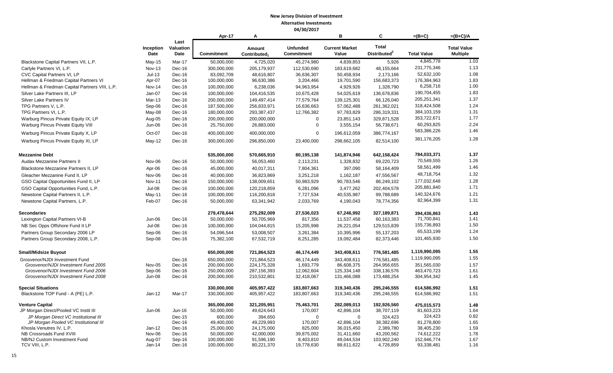|                                                                   |                   |                           | Apr-17                   | A                                  |                                      | B                              | C                                        | $=(B+C)$                 | $=(B+C)/A$                            |
|-------------------------------------------------------------------|-------------------|---------------------------|--------------------------|------------------------------------|--------------------------------------|--------------------------------|------------------------------------------|--------------------------|---------------------------------------|
|                                                                   | Inception<br>Date | Last<br>Valuation<br>Date | Commitment               | Amount<br>Contributed <sub>1</sub> | <b>Unfunded</b><br><b>Commitment</b> | <b>Current Market</b><br>Value | <b>Total</b><br>Distributed <sup>2</sup> | <b>Total Value</b>       | <b>Total Value</b><br><b>Multiple</b> |
| Blackstone Capital Partners VII, L.P.                             | $May-15$          | Mar-17                    | 50,000,000               | 4,725,020                          | 45,274,980                           | 4,839,853                      | 5,926                                    | 4,845,778                | 1.03                                  |
| Carlyle Partners VI, L.P.                                         | <b>Nov-13</b>     | Dec-16                    | 300,000,000              | 205,179,937                        | 112,530,690                          | 183,619,682                    | 48,155,664                               | 231,775,346              | 1.13                                  |
| CVC Capital Partners VI, LP                                       | $Jul-13$          | Dec-16                    | 83,092,709               | 48,616,807                         | 36,636,307                           | 50,458,934                     | 2,173,166                                | 52,632,100               | 1.08                                  |
| Hellman & Friedman Capital Partners VI                            | Apr-07            | Dec-16                    | 100,000,000              | 96,630,386                         | 3,204,466                            | 19,701,590                     | 156,683,373                              | 176,384,963              | 1.83                                  |
| Hellman & Friedman Capital Partners VIII, L.P.                    | <b>Nov-14</b>     | Dec-16                    | 100,000,000              | 6,238,036                          | 94,963,954                           | 4,929,926                      | 1,328,790                                | 6,258,716                | 1.00                                  |
| Silver Lake Partners III, LP                                      | Jan-07            | Dec-16                    | 100,000,000              | 104,416,535                        | 10,675,428                           | 54,025,619                     | 136,678,836                              | 190,704,455              | 1.83                                  |
| Silver Lake Partners IV                                           | Mar-13            | Dec-16                    | 200,000,000              | 149,497,414                        | 77,579,764                           | 139,125,301                    | 66,126,040                               | 205,251,341              | 1.37                                  |
| TPG Partners V, L.P.                                              | Sep-06            | Dec-16                    | 187,500,000              | 256,833,971                        | 16,636,663                           | 57,062,488                     | 261,362,021                              | 318,424,508              | 1.24                                  |
| TPG Partners VI, L.P.                                             | May-08            | Dec-16                    | 180,000,000              | 293,387,437                        | 12,766,382                           | 97,783,829                     | 286,319,331                              | 384,103,159              | 1.31                                  |
| Warburg Pincus Private Equity IX, LP                              | Aug-05            | Dec-16                    | 200,000,000              | 200,000,000                        | $\mathbf 0$                          | 23,851,143                     | 329,871,528                              | 353,722,671              | 1.77                                  |
| Warburg Pincus Private Equity VIII                                | Jun-06            | Dec-16                    | 25,750,000               | 26,883,000                         | 0                                    | 3,555,154                      | 56,738,671                               | 60,293,825               | 2.24                                  |
| Warburg Pincus Private Equity X, LP                               | Oct-07            | Dec-16                    | 400,000,000              | 400,000,000                        | 0                                    | 196,612,059                    | 386,774,167                              | 583,386,226              | 1.46                                  |
| Warburg Pincus Private Equity XI, LP                              | $May-12$          | Dec-16                    | 300,000,000              | 296,850,000                        | 23,400,000                           | 298,662,105                    | 82,514,100                               | 381,176,205              | 1.28                                  |
| <b>Mezzanine Debt</b>                                             |                   |                           | 535,000,000              | 570,665,910                        | 80,195,138                           | 141,874,946                    | 642,158,424                              | 784,033,371              | 1.37                                  |
| Audax Mezzanine Partners II                                       | Nov-06            | Dec-16                    | 50,000,000               | 56,053,460                         | 2,113,231                            | 1,328,832                      | 69,220,723                               | 70,549,555               | 1.26                                  |
| Blackstone Mezzanine Partners II, LP                              | Apr-06            | Dec-16                    | 45,000,000               | 40,017,311                         | 7,804,361                            | 397,090                        | 58,164,409                               | 58,561,499               | 1.46                                  |
| Gleacher Mezzanine Fund II. LP                                    | Nov-06            | Dec-16                    | 40,000,000               | 36,823,869                         | 3,251,218                            | 1,162,187                      | 47,556,567                               | 48,718,754               | 1.32                                  |
| GSO Capital Opportunities Fund II, LP                             | <b>Nov-11</b>     | Dec-16                    | 150,000,000              | 138,009,651                        | 50,983,929                           | 90,783,546                     | 86,249,102                               | 177,032,648              | 1.28                                  |
| GSO Capital Opportunities Fund, L.P.                              | $Jul-08$          | Dec-16                    | 100,000,000              | 120,218,859                        | 6,281,096                            | 3,477,262                      | 202,404,578                              | 205,881,840              | 1.71                                  |
| Newstone Capital Partners II, L.P.                                | May-11            | Dec-16                    | 100,000,000              | 116,200,818                        | 7,727,534                            | 40,535,987                     | 99,788,689                               | 140,324,676              | 1.21                                  |
| Newstone Capital Partners, L.P.                                   | Feb-07            | Dec-16                    | 50,000,000               | 63,341,942                         | 2,033,769                            | 4,190,043                      | 78,774,356                               | 82,964,399               | 1.31                                  |
| <b>Secondaries</b>                                                |                   |                           | 279,478,644              | 275,292,009                        | 27,536,023                           | 67,246,992                     | 327,189,871                              | 394,436,863              | 1.43                                  |
| Lexington Capital Partners VI-B                                   | Jun-06            | Dec-16                    | 50,000,000               | 50,705,969                         | 817,356                              | 11,537,458                     | 60,163,383                               | 71,700,841               | 1.41                                  |
| NB Sec Opps Offshore Fund II LP                                   | <b>Jul-08</b>     | Dec-16                    | 100,000,000              | 104,044,815                        | 15,205,998                           | 26,221,054                     | 129,515,839                              | 155,736,893              | 1.50                                  |
| Partners Group Secondary 2006 LP                                  | Sep-06            | Dec-16                    | 54,096,544               | 53,008,507                         | 3,261,384                            | 10,395,996                     | 55,137,203                               | 65,533,199               | 1.24                                  |
| Partners Group Secondary 2008, L.P.                               | Sep-08            | Dec-16                    | 75,382,100               | 67,532,719                         | 8,251,285                            | 19,092,484                     | 82,373,446                               | 101,465,930              | 1.50                                  |
| <b>Small/Midsize Buyout</b>                                       |                   |                           | 650,000,000              | 721,864,523                        | 46,174,449                           | 343,408,611                    | 776,581,485                              | 1,119,990,095            | 1.55                                  |
| Grosvenor/NJDI Investment Fund                                    |                   | Dec-16                    | 650.000.000              | 721.864.523                        | 46,174,449                           | 343.408.611                    | 776.581.485                              | 1,119,990,095            | 1.55                                  |
| Grosvenor/NJDI Investment Fund 2005                               | <b>Nov-05</b>     | Dec-16                    | 200,000,000              | 224, 175, 328                      | 1,693,779                            | 86,608,375                     | 264,956,655                              | 351,565,030              | 1.57                                  |
| Grosvenor/NJDI Investment Fund 2006                               | Sep-06            | Dec-16                    | 250,000,000              | 287, 156, 393                      | 12,062,604                           | 125,334,148                    | 338,136,576                              | 463,470,723              | 1.61                                  |
| Grosvenor/NJDI Investment Fund 2008                               | <b>Jun-08</b>     | Dec-16                    | 200,000,000              | 210,532,801                        | 32,418,067                           | 131,466,088                    | 173,488,254                              | 304,954,342              | 1.45                                  |
| <b>Special Situations</b>                                         |                   |                           | 330,000,000              | 405,957,422                        | 183,807,663                          | 319,340,436                    | 295,246,555                              | 614,586,992              | 1.51                                  |
| Blackstone TOP Fund - A (PE) L.P.                                 | $Jan-12$          | Mar-17                    | 330,000,000              | 405,957,422                        | 183,807,663                          | 319,340,436                    | 295,246,555                              | 614,586,992              | 1.51                                  |
| <b>Venture Capital</b>                                            |                   |                           | 365,000,000              | 321,205,951                        | 75,463,701                           | 282,089,013                    | 192,926,560                              | 475,015,573              | 1.48                                  |
| JP Morgan Direct/Pooled VC Instit III                             | Jun-06            | Jun-16                    | 50,000,000               | 49,624,643                         | 170,007                              | 42,896,104                     | 38,707,119                               | 81,603,223               | 1.64                                  |
| JP Morgan Direct VC Institutional III                             |                   | Dec-15                    | 600,000                  | 394,650                            | $\Omega$                             | $\mathbf 0$                    | 324,423                                  | 324,423                  | 0.82                                  |
| JP Morgan Pooled VC Institutional III<br>Khosla Venutres IV, L.P. | $Jan-12$          | Dec-16<br>Dec-16          | 49,400,000<br>25,000,000 | 49,229,993<br>24,175,000           | 170,007<br>825,000                   | 42,896,104<br>36,015,450       | 38,382,696<br>2,389,780                  | 81,278,800<br>38,405,230 | 1.65<br>1.59                          |
| NB Crossroads Fund XVIII                                          | Nov-06            | Dec-16                    | 50,000,000               | 42,000,000                         | 39,875,002                           | 31,411,660                     | 43,200,562                               | 74,612,222               | 1.78                                  |
| NB/NJ Custom Investment Fund                                      | Aug-07            | Sep-16                    | 100,000,000              | 91,596,190                         | 8,403,810                            | 49,044,534                     | 103,902,240                              | 152,946,774              | 1.67                                  |
| TCV VIII, L.P.                                                    | Jan-14            | Dec-16                    | 100,000,000              | 80,221,370                         | 19,778,630                           | 88,611,622                     | 4,726,859                                | 93,338,481               | 1.16                                  |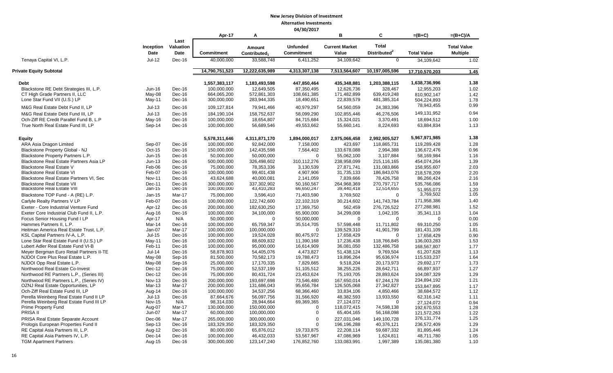|                                           |                   |                           |                   |                                    | ,,,,,,,,,,,                          |                                |                                          |                    |                                       |
|-------------------------------------------|-------------------|---------------------------|-------------------|------------------------------------|--------------------------------------|--------------------------------|------------------------------------------|--------------------|---------------------------------------|
|                                           |                   |                           | Apr-17            | Α                                  |                                      | в                              | C                                        | $=(B+C)$           | $=(B+C)/A$                            |
|                                           | Inception<br>Date | Last<br>Valuation<br>Date | <b>Commitment</b> | Amount<br>Contributed <sub>1</sub> | <b>Unfunded</b><br><b>Commitment</b> | <b>Current Market</b><br>Value | <b>Total</b><br>Distributed <sup>2</sup> | <b>Total Value</b> | <b>Total Value</b><br><b>Multiple</b> |
| Tenaya Capital VI, L.P.                   | $Jul-12$          | Dec-16                    | 40,000,000        | 33,588,748                         | 6,411,252                            | 34,109,642                     | $\overline{0}$                           | 34,109,642         | 1.02                                  |
| Private Equity Subtotal                   |                   |                           | 14,790,751,523    | 12,222,635,989                     | 4,313,307,138                        | 7,513,564,607                  | 10,197,005,596                           | 17,710,570,203     | 1.45                                  |
| <b>Debt</b>                               |                   |                           | 1,557,383,117     | 1,183,493,598                      | 447,850,464                          | 435,348,881                    | 1,203,388,115                            | 1,638,736,996      | 1.38                                  |
| Blackstone RE Debt Strategies III, L.P.   | Jun-16            | Dec-16                    | 100.000.000       | 12,649,505                         | 87,350,495                           | 12.626.736                     | 328,467                                  | 12,955,203         | 1.02                                  |
| CT High Grade Partners II, LLC            | May-08            | Dec-16                    | 664,065,200       | 572,861,303                        | 108,661,385                          | 171,482,899                    | 639,419,248                              | 810,902,147        | 1.42                                  |
| Lone Star Fund VII (U.S.) LP              | May-11            | Dec-16                    | 300,000,000       | 283,944,335                        | 18,490,651                           | 22,839,579                     | 481,385,314                              | 504,224,893        | 1.78                                  |
| M&G Real Estate Debt Fund II, LP          | $Jul-13$          | Dec-16                    | 109,127,814       | 79,941,466                         | 40,979,297                           | 54,560,059                     | 24,383,396                               | 78,943,455         | 0.99                                  |
| M&G Real Estate Debt Fund III, LP         | $Jul-13$          | $Dec-16$                  | 184,190,104       | 158,752,637                        | 58,099,290                           | 102,855,446                    | 46,276,506                               | 149,131,952        | 0.94                                  |
| Och-Ziff RE Credit Parallel Fund B, L.P   | $May-16$          | Dec-16                    | 100,000,000       | 18,654,807                         | 84,715,684                           | 15,324,021                     | 3,370,491                                | 18,694,512         | 1.00                                  |
| True North Real Estate Fund III, LP       | Sep-14            | Dec-16                    | 100,000,000       | 56,689,546                         | 49,553,662                           | 55,660,141                     | 8,224,693                                | 63,884,834         | 1.13                                  |
|                                           |                   |                           |                   |                                    |                                      |                                |                                          |                    |                                       |
| <b>Equity</b>                             |                   |                           | 5,578,311,646     | 4,311,871,170                      | 1,894,000,017                        | 2,975,066,458                  | 2,992,905,527                            | 5,967,971,985      | 1.38                                  |
| ARA Asia Dragon Limited                   | Sep-07            | Dec-16                    | 100,000,000       | 92,842,000                         | 7,158,000                            | 423,697                        | 118,865,731                              | 119,289,428        | 1.28                                  |
| Blackstone Property Global - NJ           | Oct-15            | Dec-16                    | 150,000,000       | 142,435,598                        | 7,564,402                            | 133,678,088                    | 2,994,388                                | 136,672,476        | 0.96                                  |
| Blackstone Property Partners L.P.         | Jun-15            | Dec-16                    | 50,000,000        | 50,000,000                         | $\mathbf 0$                          | 55,062,100                     | 3,107,884                                | 58,169,984         | 1.16                                  |
| Blackstone Real Estate Partners Asia LP   | $Jun-13$          | Dec-16                    | 500,000,000       | 326,498,602                        | 310,112,276                          | 238,958,099                    | 215,116,165                              | 454,074,264        | 1.39                                  |
| <b>Blackstone Real Estate V</b>           | Feb-06            | Dec-16                    | 75,000,000        | 78,353,336                         | 3,130,539                            | 27,871,741                     | 131,083,866                              | 158,955,607        | 2.03                                  |
| <b>Blackstone Real Estate VI</b>          | Feb-07            | Dec-16                    | 100,000,000       | 99,401,438                         | 4,907,906                            | 31,735,133                     | 186,843,076                              | 218,578,209        | 2.20                                  |
| Blackstone Real Estate Partners VI, Sec   | <b>Nov-11</b>     | Dec-16                    | 43,624,688        | 40.000.081                         | 2,141,059                            | 7,839,666                      | 78,426,758                               | 86,266,424         | 2.16                                  |
| <b>Blackstone Real Estate VII</b>         | Dec-11            | Dec-16                    | 300.000.000       | 337,302,902                        | 50,160,567                           | 264,968,369                    | 270.797.717                              | 535,766,086        | 1.59                                  |
| <b>Blackstone Real Estate VIII</b>        | Jan-15            | Dec-16                    | 100,000,000       | 43,410,283                         | 66,650,247                           | 39,440,418                     | 12,514,655                               | 51.955.073         | 1.20                                  |
| Blackstone TOP Fund - A (RE) L.P.         | Jan-15            | Mar-17                    | 75,000,000        | 3,596,410                          | 71,403,590                           | 3,769,502                      | $\Omega$                                 | 3,769,502          | 1.05                                  |
| Carlyle Realty Partners V LP              | Feb-07            | Dec-16                    | 100,000,000       | 122,742,600                        | 22,102,319                           | 30,214,602                     | 141,743,784                              | 171,958,386        | 1.40                                  |
| Exeter - Core Industrial Venture Fund     | Apr-12            | Dec-16                    | 200,000,000       | 182,630,250                        | 17,369,750                           | 562,459                        | 276,726,522                              | 277,288,981        | 1.52                                  |
| Exeter Core Industrial Club Fund II, L.P. | Aug-16            | Dec-16                    | 100,000,000       | 34,100,000                         | 65,900,000                           | 34,299,008                     | 1,042,105                                | 35,341,113         | 1.04                                  |
| Focus Senior Housing Fund I LP            | Apr-17            | N/A                       | 50,000,000        | $\Omega$                           | 50,000,000                           | $\mathbf 0$                    | $\Omega$                                 | $\mathbf 0$        | 0.00                                  |
| Hammes Partners II. L.P.                  | Mar-14            | Dec-16                    | 100,000,000       | 65.759.347                         | 35,514,705                           | 57,598,448                     | 11,711,802                               | 69,310,250         | 1.05                                  |
| Heitman America Real Estate Trust, L.P.   | Jan-07            | Mar-17                    | 100,000,000       | 100,000,000                        | $\Omega$                             | 139,529,310                    | 41,901,799                               | 181,431,109        | 1.81                                  |
| KSL Capital Partners IV-A, L.P.           | Jul-15            | Dec-16                    | 100,000,000       | 19,524,028                         | 80,475,972                           | 17,658,429                     | $\Omega$                                 | 17,658,429         | 0.90                                  |
| Lone Star Real Estate Fund II (U.S.) LP   | $May-11$          | Dec-16                    | 100,000,000       | 88,609,832                         | 11,390,168                           | 17,236,438                     | 118,766,845                              | 136,003,283        | 1.53                                  |
| Lubert Adler Real Estate Fund VI-B        | Feb-11            | Dec-16                    | 100,000,000       | 95,000,000                         | 16,614,909                           | 36,081,050                     | 132,486,758                              | 168,567,807        | 1.77                                  |
| Meyer Bergman Euro Retail Partners II-TE  | $Jul-14$          | Dec-16                    | 58,878,903        | 54,405,076                         | 4,473,827                            | 51,438,124                     | 9,769,504                                | 61,207,628         | 1.13                                  |
| NJDOI Core Plus Real Estate L.P.          | May-08            | Sep-16                    | 81,500,000        | 70,582,173                         | 19,788,473                           | 19,896,264                     | 95,636,974                               | 115,533,237        | 1.64                                  |
| NJDOI Opp Real Estate L.P.                | May-08            | Sep-16                    | 25,000,000        | 17,170,335                         | 7,829,665                            | 9,518,204                      | 20,173,973                               | 29,692,177         | 1.73                                  |
| Northwood Real Estate Co-Invest           | Dec-12            | Dec-16                    | 75,000,000        | 52,537,199                         | 51,105,512                           | 38,255,226                     | 28,642,711                               | 66,897,937         | 1.27                                  |
| Northwood RE Partners L.P., (Series III)  | Dec-12            | Dec-16                    | 75,000,000        | 80,431,724                         | 23,453,624                           | 75,193,705                     | 28,893,624                               | 104,087,329        | 1.29                                  |
| Northwood RE Partners L.P., (Series IV)   | <b>Nov-13</b>     | Dec-16                    | 200,000,000       | 193,697,698                        | 73,546,480                           | 167,650,014                    | 67,244,178                               | 234,894,192        | 1.21                                  |
| OZNJ Real Estate Opportunities, LP        | Mar-13            | Mar-17                    | 200,000,000       | 131,686,043                        | 95,656,784                           | 126,505,068                    | 27,342,827                               | 153,847,895        | 1.17                                  |
| Och-Ziff Real Estate Fund III, LP         | Aug-14            | Dec-16                    | 100,000,000       | 34,537,256                         | 68,366,460                           | 33,834,106                     | 4,850,466                                | 38,684,572         | 1.12                                  |
| Perella Weinberg Real Estate Fund II LP   | $Jul-13$          | Dec-16                    | 87,664,676        | 56,097,756                         | 31,566,920                           | 48,382,593                     | 13,933,550                               | 62,316,142         | 1.11                                  |
| Perella Weinberg Real Estate Fund III LP  | Nov-15            | N/A                       | 98,314,030        | 28,944,664                         | 69,369,365                           | 27,124,072                     | $\Omega$                                 | 27,124,072         | 0.94                                  |
| <b>Prime Property Fund</b>                | Aug-07            | Mar-17                    | 130,000,000       | 150,000,000                        | $\mathbf 0$                          | 118,072,415                    | 74,598,138                               | 192,670,553        | 1.28                                  |
| PRISA II                                  | Jun-07            | Mar-17                    | 60,000,000        | 100,000,000                        | $\mathbf 0$                          | 65,404,165                     | 56,168,098                               | 121,572,263        | 1.22                                  |
| PRISA Real Estate Separate Account        | Dec-06            | Mar-17                    | 265,000,000       | 300,000,000                        | $\Omega$                             | 227.031.046                    | 149,100,728                              | 376, 131, 774      | 1.25                                  |
| Prologis European Properties Fund II      | Sep-13            | Dec-16                    | 183,329,350       | 183,329,350                        | $\mathbf 0$                          | 196,196,288                    | 40,376,121                               | 236,572,409        | 1.29                                  |
| RE Capital Asia Partners III, L.P.        | Aug-12            | Dec-16                    | 80,000,000        | 65,876,012                         | 19,733,875                           | 22,208,114                     | 59,687,332                               | 81,895,446         | 1.24                                  |
| RE Capital Asia Partners IV, L.P.         | Dec-14            | Dec-16                    | 100,000,000       | 46,432,033                         | 53,567,967                           | 47,086,969                     | 1,624,811                                | 48,711,780         | 1.05                                  |
| <b>TGM Apartment Partners</b>             | Aug-15            | Dec-16                    | 300,000,000       | 123, 147, 240                      | 176,852,760                          | 133,083,991                    | 1,997,389                                | 135,081,380        | 1.10                                  |
|                                           |                   |                           |                   |                                    |                                      |                                |                                          |                    |                                       |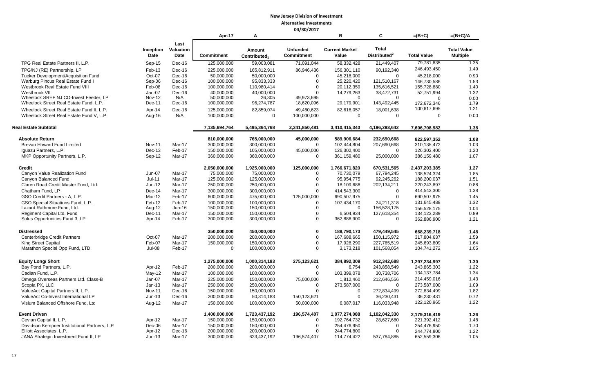|                                                                          |                   |                           |                            |                                    | <del>u4</del> 13012011               |                                |                                          |                            |                                       |
|--------------------------------------------------------------------------|-------------------|---------------------------|----------------------------|------------------------------------|--------------------------------------|--------------------------------|------------------------------------------|----------------------------|---------------------------------------|
|                                                                          |                   |                           | Apr-17                     | Α                                  |                                      | в                              | C                                        | $=(B+C)$                   | $=(B+C)/A$                            |
|                                                                          | Inception<br>Date | Last<br>Valuation<br>Date | <b>Commitment</b>          | Amount<br>Contributed <sub>1</sub> | <b>Unfunded</b><br><b>Commitment</b> | <b>Current Market</b><br>Value | <b>Total</b><br>Distributed <sup>2</sup> | <b>Total Value</b>         | <b>Total Value</b><br><b>Multiple</b> |
| TPG Real Estate Partners II, L.P.                                        | Sep-15            | Dec-16                    | 125,000,000                | 59,003,081                         | 71,091,044                           | 58,332,428                     | 21,449,407                               | 79,781,835                 | 1.35                                  |
| TPG/NJ (RE) Partnership, LP                                              | Feb-13            | Dec-16                    | 225,000,000                | 165,812,911                        | 86,946,436                           | 156,301,110                    | 90.192.340                               | 246,493,450                | 1.49                                  |
| Tucker Development/Acquisition Fund                                      | Oct-07            | Dec-16                    | 50,000,000                 | 50,000,000                         | $\Omega$                             | 45,218,000                     | $\Omega$                                 | 45,218,000                 | 0.90                                  |
| Warburg Pincus Real Estate Fund I                                        | Sep-06            | Dec-16                    | 100,000,000                | 95,833,333                         | $\Omega$                             | 25,220,420                     | 121,510,167                              | 146,730,586                | 1.53                                  |
| Westbrook Real Estate Fund VIII                                          | Feb-08            | Dec-16                    | 100,000,000                | 110,980,414                        | $\Omega$                             | 20,112,359                     | 135,616,521                              | 155,728,880                | 1.40                                  |
| Westbrook VII                                                            | Jan-07            | Dec-16                    | 40,000,000                 | 40,000,000                         | $\Omega$                             | 14,279,263                     | 38,472,731                               | 52,751,994                 | 1.32                                  |
| Wheelock SREF NJ CO-Invest Feeder, LP                                    | <b>Nov-12</b>     | N/A                       | 50,000,000                 | 26,305                             | 49,973,695                           | $\Omega$                       | $\Omega$                                 | $\Omega$                   | 0.00                                  |
| Wheelock Street Real Estate Fund, L.P.                                   | Dec-11            | Dec-16                    | 100,000,000                | 96,274,787                         | 18,620,096                           | 29,179,901                     | 143,492,445                              | 172,672,346                | 1.79                                  |
| Wheelock Street Real Estate Fund II, L.P.                                | Apr-14            | Dec-16                    | 125,000,000                | 82,859,074                         | 49,460,623                           | 82,616,057                     | 18,001,638                               | 100,617,695                | 1.21                                  |
| Wheelock Street Real Estate Fund V, L.P                                  | Aug-16            | N/A                       | 100,000,000                | $\Omega$                           | 100,000,000                          | 0                              | $\mathbf 0$                              | $\mathbf 0$                | 0.00                                  |
| Real Estate Subtotal                                                     |                   |                           | 7,135,694,764              | 5,495,364,768                      | 2,341,850,481                        | 3,410,415,340                  | 4,196,293,642                            | 7.606.708.982              | 1.38                                  |
| <b>Absolute Return</b>                                                   |                   |                           | 810,000,000                | 765,000,000                        | 45,000,000                           | 589,906,684                    | 232,690,668                              | 822,597,352                | 1.08                                  |
| Brevan Howard Fund Limited                                               | <b>Nov-11</b>     | Mar-17                    | 300,000,000                | 300,000,000                        | $\Omega$                             | 102,444,804                    | 207,690,668                              | 310, 135, 472              | 1.03                                  |
| Iguazu Partners, L.P.                                                    | Dec-13            | Feb-17                    | 150,000,000                | 105,000,000                        | 45,000,000                           | 126,302,400                    | $\Omega$                                 | 126,302,400                | 1.20                                  |
| MKP Opportunity Partners, L.P.                                           | Sep-12            | Mar-17                    | 360,000,000                | 360,000,000                        | $\Omega$                             | 361,159,480                    | 25,000,000                               | 386,159,480                | 1.07                                  |
| <b>Credit</b>                                                            |                   |                           | 2,050,000,000              | 1,925,000,000                      | 125,000,000                          | 1,766,671,820                  | 670,531,565                              | 2,437,203,385              | 1.27                                  |
| Canyon Value Realization Fund                                            | <b>Jun-07</b>     | Mar-17                    | 75.000.000                 | 75.000.000                         | $\Omega$                             | 70,730,079                     | 67.794.245                               | 138.524.324                | 1.85                                  |
| Canyon Balanced Fund                                                     | $Jul-11$          | Mar-17                    | 125,000,000                | 125,000,000                        | $\Omega$                             | 95,954,775                     | 92,245,262                               | 188,200,037                | 1.51                                  |
| Claren Road Credit Master Fund, Ltd.                                     | Jun-12            | Mar-17                    | 250,000,000                | 250,000,000                        | $\Omega$                             | 18,109,686                     | 202,134,211                              | 220,243,897                | 0.88                                  |
| Chatham Fund, LP                                                         | Dec-14            | Mar-17                    | 300,000,000                | 300.000.000                        | $\Omega$                             | 414,543,300                    | $\Omega$                                 | 414,543,300                | 1.38                                  |
| GSO Credit Partners - A, L.P.                                            | Mar-12            | Feb-17                    | 600,000,000                | 475,000,000                        | 125,000,000                          | 690,507,975                    | $\mathbf 0$                              | 690,507,975                | 1.45                                  |
| GSO Special Situations Fund, L.P.                                        | Feb-12            | Feb-17                    | 100,000,000                | 100,000,000                        | $\Omega$                             | 107,434,170                    | 24.211.318                               | 131,645,488                | 1.32                                  |
| Lazard Rathmore Fund, Ltd.                                               | Aug-12            | Jun-16                    | 150,000,000                | 150,000,000                        | $\mathbf 0$                          | $\Omega$                       | 156,528,175                              | 156.528.175                | 1.04                                  |
| Regiment Capital Ltd. Fund                                               | Dec-11            | Mar-17                    | 150,000,000                | 150,000,000                        | $\Omega$                             | 6,504,934                      | 127,618,354                              | 134, 123, 289              | 0.89                                  |
| Solus Opportunities Fund 3, LP                                           | Apr-14            | Feb-17                    | 300,000,000                | 300,000,000                        | $\Omega$                             | 362,886,900                    | $\mathbf 0$                              | 362,886,900                | 1.21                                  |
| <b>Distressed</b>                                                        |                   |                           | 350.000.000                | 450.000.000                        | $\mathbf 0$                          | 188.790.173                    | 479.449.545                              | 668.239.718                | 1.48                                  |
| Centerbridge Credit Partners                                             | Oct-07            | Mar-17                    | 200,000,000                | 200,000,000                        | $\mathbf 0$                          | 167,688,665                    | 150,115,972                              | 317,804,637                | 1.59                                  |
| King Street Capital                                                      | Feb-07            | Mar-17                    | 150,000,000                | 150,000,000                        | $\mathbf 0$                          | 17,928,290                     | 227,765,519                              | 245,693,809                | 1.64                                  |
| Marathon Special Opp Fund, LTD                                           | $Jul-08$          | Feb-17                    | $\mathbf 0$                | 100,000,000                        | $\Omega$                             | 3,173,218                      | 101,568,054                              | 104,741,272                | 1.05                                  |
| <b>Equity Long/ Short</b>                                                |                   |                           | 1,275,000,000              | 1,000,314,183                      | 275,123,621                          | 384,892,309                    | 912,342,688                              | 1,297,234,997              | 1.30                                  |
| Bay Pond Partners, L.P.                                                  | Apr-12            | Feb-17                    | 200,000,000                | 200,000,000                        | $\Omega$                             | 6,754                          | 243,858,549                              | 243,865,303                | 1.22                                  |
| Cadian Fund, L.P.                                                        | May-12            | Mar-17                    | 100,000,000                | 100,000,000                        | $\Omega$                             | 103,399,078                    | 30,738,706                               | 134, 137, 784              | 1.34                                  |
| Omega Overseas Partners Ltd. Class-B                                     | $Jan-07$          | Mar-17                    | 225,000,000                | 150,000,000                        | 75,000,000                           | 1,812,460                      | 212,646,556                              | 214,459,016                | 1.43                                  |
| Scopia PX, LLC                                                           | $Jan-13$          | Mar-17                    | 250,000,000                | 250,000,000                        | $\mathbf 0$                          | 273,587,000                    | $\Omega$                                 | 273,587,000                | 1.09                                  |
| ValueAct Capital Partners II, L.P.                                       | <b>Nov-11</b>     | Dec-16                    | 150,000,000                | 150,000,000                        | $\Omega$                             | 0                              | 272,834,499                              | 272,834,499                | 1.82                                  |
| ValueAct Co-Invest International LP                                      | $Jun-13$          | Dec-16                    | 200,000,000                | 50,314,183                         | 150,123,621                          | 0                              | 36,230,431                               | 36,230,431                 | 0.72                                  |
| Visium Balanced Offshore Fund, Ltd                                       | Aug-12            | Mar-17                    | 150,000,000                | 100,000,000                        | 50,000,000                           | 6,087,017                      | 116,033,948                              | 122,120,965                | 1.22                                  |
| <b>Event Driven</b>                                                      |                   |                           | 1,400,000,000              | 1,723,437,192                      | 196,574,407                          | 1,077,274,088                  | 1,102,042,330                            |                            |                                       |
|                                                                          |                   |                           |                            |                                    |                                      |                                |                                          | 2,179,316,419              | 1.26                                  |
| Cevian Capital II, L.P.                                                  | Apr-12            | Mar-17                    | 150,000,000                | 150,000,000                        | $\mathbf 0$                          | 192,764,732                    | 28,627,680                               | 221,392,412                | 1.48                                  |
| Davidson Kempner Institutional Partners, L.P<br>Elliott Associates, L.P. | Dec-06<br>Apr-12  | Mar-17<br>Dec-16          | 150,000,000<br>200,000,000 | 150,000,000<br>200,000,000         | $\Omega$<br>$\Omega$                 | 254,476,950<br>244,774,800     | 0<br>$\Omega$                            | 254,476,950                | 1.70                                  |
| JANA Strategic Investment Fund II, LP                                    | $Jun-13$          | Mar-17                    | 300,000,000                | 623,437,192                        | 196,574,407                          | 114,774,422                    | 537,784,885                              | 244,774,800<br>652,559,306 | 1.22<br>1.05                          |
|                                                                          |                   |                           |                            |                                    |                                      |                                |                                          |                            |                                       |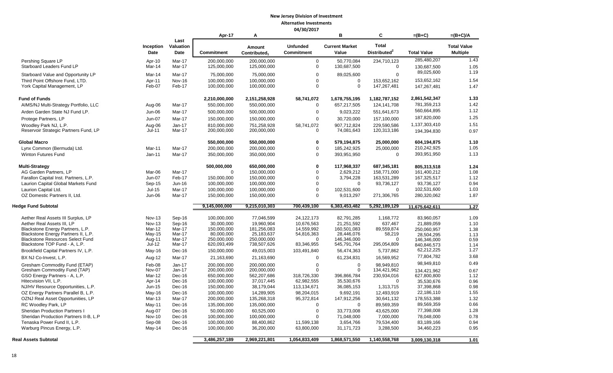|                                                               |                   |                           | Apr-17                     | A                                  |                                      | B                              | C                                        | $=(B+C)$                 | $=(B+C)/A$                            |
|---------------------------------------------------------------|-------------------|---------------------------|----------------------------|------------------------------------|--------------------------------------|--------------------------------|------------------------------------------|--------------------------|---------------------------------------|
|                                                               | Inception<br>Date | Last<br>Valuation<br>Date | <b>Commitment</b>          | Amount<br>Contributed <sub>1</sub> | <b>Unfunded</b><br><b>Commitment</b> | <b>Current Market</b><br>Value | <b>Total</b><br>Distributed <sup>2</sup> | <b>Total Value</b>       | <b>Total Value</b><br><b>Multiple</b> |
| Pershing Square LP                                            | Apr-10            | Mar-17                    | 200,000,000                | 200,000,000                        | $\mathbf 0$                          | 50,770,084                     | 234,710,123                              | 285,480,207              | 1.43                                  |
| Starboard Leaders Fund LP                                     | Mar-14            | Mar-17                    | 125,000,000                | 125,000,000                        | $\mathbf 0$                          | 130,687,500                    | $\mathbf 0$                              | 130,687,500              | 1.05                                  |
| Starboard Value and Opportunity LP                            | Mar-14            | Mar-17                    | 75,000,000                 | 75,000,000                         | $\Omega$                             | 89,025,600                     | $\mathbf 0$                              | 89,025,600               | 1.19                                  |
| Third Point Offshore Fund, LTD.                               | Apr-11            | <b>Nov-16</b>             | 100,000,000                | 100,000,000                        | $\Omega$                             | 0                              | 153,652,162                              | 153,652,162              | 1.54                                  |
| York Capital Management, LP                                   | Feb-07            | Feb-17                    | 100,000,000                | 100,000,000                        | $\Omega$                             | $\mathbf 0$                    | 147,267,481                              | 147,267,481              | 1.47                                  |
| <b>Fund of Funds</b>                                          |                   |                           | 2,210,000,000              | 2,151,258,928                      | 58,741,072                           | 1,678,755,195                  | 1,182,787,152                            | 2,861,542,347            | 1.33                                  |
| AIMS/NJ Multi-Strategy Portfolio, LLC                         | Aug-06            | Mar-17                    | 550,000,000                | 550,000,000                        | $\Omega$                             | 657,217,505                    | 124,141,708                              | 781,359,213              | 1.42                                  |
| Arden Garden State NJ Fund LP.                                | Jun-06            | Mar-17                    | 500,000,000                | 500,000,000                        | $\Omega$                             | 9,023,222                      | 551,641,673                              | 560,664,895              | 1.12                                  |
| Protege Partners, LP                                          | Jun-07            | Mar-17                    | 150,000,000                | 150,000,000                        | $\mathbf 0$                          | 30,720,000                     | 157,100,000                              | 187,820,000              | 1.25                                  |
| Woodley Park NJ, L.P.                                         | Aug-06            | Jan-17                    | 810,000,000                | 751,258,928                        | 58,741,072                           | 907,712,824                    | 229.590.586                              | 1,137,303,410            | 1.51                                  |
| Reservoir Strategic Partners Fund, LP                         | Jul-11            | Mar-17                    | 200,000,000                | 200,000,000                        | $\Omega$                             | 74,081,643                     | 120,313,186                              | 194,394,830              | 0.97                                  |
| <b>Global Macro</b>                                           |                   |                           | 550,000,000                | 550,000,000                        | 0                                    | 579,194,875                    | 25,000,000                               | 604,194,875              | 1.10                                  |
| Lynx Common (Bermuda) Ltd.                                    | Mar-11            | Mar-17                    | 200,000,000                | 200,000,000                        | $\Omega$                             | 185,242,925                    | 25,000,000                               | 210,242,925              | 1.05                                  |
| <b>Winton Futures Fund</b>                                    | $Jan-11$          | Mar-17                    | 350,000,000                | 350,000,000                        | $\mathbf 0$                          | 393,951,950                    | $\mathbf 0$                              | 393,951,950              | 1.13                                  |
| <b>Multi-Strategy</b>                                         |                   |                           | 500,000,000                | 650,000,000                        | 0                                    | 117,968,337                    | 687,345,181                              | 805,313,518              | 1.24                                  |
| AG Garden Partners, LP                                        | Mar-06            | Mar-17                    | $\mathbf 0$                | 150,000,000                        | $\mathbf 0$                          | 2,629,212                      | 158,771,000                              | 161,400,212              | 1.08                                  |
| Farallon Capital Inst. Partners, L.P.                         | Jun-07            | Feb-17                    | 150,000,000                | 150,000,000                        | $\Omega$                             | 3,794,228                      | 163,531,289                              | 167,325,517              | 1.12                                  |
| Laurion Capital Global Markets Fund                           | $Sep-15$          | Jun-16                    | 100,000,000                | 100,000,000                        | $\Omega$                             | 0                              | 93,736,127                               | 93,736,127               | 0.94                                  |
| Laurion Capital Ltd.                                          | $Jul-15$          | Mar-17                    | 100,000,000                | 100,000,000                        | $\Omega$                             | 102,531,600                    | $\mathbf 0$                              | 102,531,600              | 1.03                                  |
| OZ Domestic Partners II, Ltd.                                 | Jun-06            | Mar-17                    | 150,000,000                | 150,000,000                        | $\Omega$                             | 9,013,297                      | 271,306,765                              | 280,320,062              | 1.87                                  |
| <b>Hedge Fund Subtotal</b>                                    |                   |                           | 9,145,000,000              | 9,215,010,303                      | 700,439,100                          | 6,383,453,482                  | 5,292,189,129                            | 11,675,642,611           | 1.27                                  |
| Aether Real Assets III Surplus, LP                            | <b>Nov-13</b>     | Sep-16                    | 100,000,000                | 77,046,599                         | 24,122,173                           | 82,791,285                     | 1,168,772                                | 83,960,057               | 1.09                                  |
| Aether Real Assets III, LP                                    | <b>Nov-13</b>     | Sep-16                    | 30,000,000                 | 19,960,904                         | 10,676,563                           | 21,251,592                     | 637,467                                  | 21,889,059               | 1.10                                  |
| Blackstone Energy Partners, L.P.                              | Mar-12            | Mar-17                    | 150,000,000                | 181,256,083                        | 14,559,992                           | 160.501.083                    | 89,559,874                               | 250,060,957              | 1.38                                  |
| Blackstone Energy Partners II, L.P.                           | May-15            | Mar-17                    | 80,000,000                 | 25,183,637                         | 54,816,363                           | 28,446,076                     | 58,219                                   | 28,504,295               | 1.13                                  |
| <b>Blackstone Resources Select Fund</b>                       | Aug-11            | Mar-17                    | 250,000,000                | 250,000,000                        | $\Omega$                             | 146,346,000                    | $\Omega$                                 | 146,346,000              | 0.59                                  |
| Blackstone TOP Fund - A, L.P.                                 | Jul-12            | Mar-17                    | 620,093,499                | 738,507,626                        | 83,346,955                           | 545,791,764                    | 295,054,809                              | 840,846,573              | 1.14                                  |
| Brookfield Capital Partners IV, L.P.                          | $May-16$          | Dec-16                    | 150,000,000                | 49,015,003                         | 103,491,840                          | 56,474,363                     | 5,737,862                                | 62,212,225<br>77,804,782 | 1.27<br>3.68                          |
| BX NJ Co-Invest, L.P.                                         | Aug-12            | Mar-17<br>$Jan-17$        | 21,163,690                 | 21,163,690                         | $\Omega$<br>$\Omega$                 | 61,234,831                     | 16,569,952                               | 98,949,810               | 0.49                                  |
| Gresham Commodity Fund (ETAP)<br>Gresham Commodity Fund (TAP) | Feb-08<br>Nov-07  | Jan-17                    | 200,000,000<br>200,000,000 | 200,000,000<br>200,000,000         | $\Omega$                             | 0<br>$\mathbf 0$               | 98,949,810<br>134,421,962                | 134.421.962              | 0.67                                  |
| GSO Energy Partners - A, L.P.                                 | Mar-12            | Dec-16                    | 650,000,000                | 562,207,686                        | 318,726,330                          | 396,866,784                    | 230,934,016                              | 627,800,800              | 1.12                                  |
| Hitecvision VII, L.P.                                         | Apr-14            | Dec-16                    | 100,000,000                | 37,017,445                         | 62,982,555                           | 35,530,676                     | $\mathbf 0$                              | 35,530,676               | 0.96                                  |
| NJ/HV Resource Opportunities, L.P.                            | Jun-15            | Dec-16                    | 150,000,000                | 38,179,044                         | 113,134,671                          | 36,085,153                     | 1,313,715                                | 37,398,868               | 0.98                                  |
| OZ Energy Partners Parallel B, L.P.                           | May-16            | Dec-16                    | 100,000,000                | 14,289,905                         | 98,204,015                           | 9,692,191                      | 12,493,919                               | 22,186,110               | 1.55                                  |
| OZNJ Real Asset Opportunities, LP                             | Mar-13            | Mar-17                    | 200,000,000                | 135,268,318                        | 95,372,814                           | 147,912,256                    | 30,641,132                               | 178,553,388              | 1.32                                  |
| RC Woodley Park, LP                                           | May-11            | Dec-16                    | 135,000,000                | 135,000,000                        | $\Omega$                             | 0                              | 89,569,359                               | 89,569,359               | 0.66                                  |
| Sheridan Production Partners I                                | Aug-07            | Dec-16                    | 50,000,000                 | 60,525,000                         | $\overline{0}$                       | 33,773,008                     | 43,625,000                               | 77,398,008               | 1.28                                  |
| Sheridan Production Partners II-B, L.P                        | <b>Nov-10</b>     | Dec-16                    | 100,000,000                | 100,000,000                        | $\Omega$                             | 71,048,000                     | 7,000,000                                | 78,048,000               | 0.78                                  |
| Tenaska Power Fund II, L.P.                                   | Sep-08            | Dec-16                    | 100,000,000                | 88,400,862                         | 11,599,138                           | 3,654,766                      | 79,534,400                               | 83,189,166               | 0.94                                  |
| Warburg Pincus Energy, L.P.                                   | May-14            | Dec-16                    | 100,000,000                | 36,200,000                         | 63,800,000                           | 31,171,723                     | 3,288,500                                | 34,460,223               | 0.95                                  |
| <b>Real Assets Subtotal</b>                                   |                   |                           | 3,486,257,189              | 2,969,221,801                      | 1,054,833,409                        | 1,868,571,550                  | 1,140,558,768                            | 3,009,130,318            | 1.01                                  |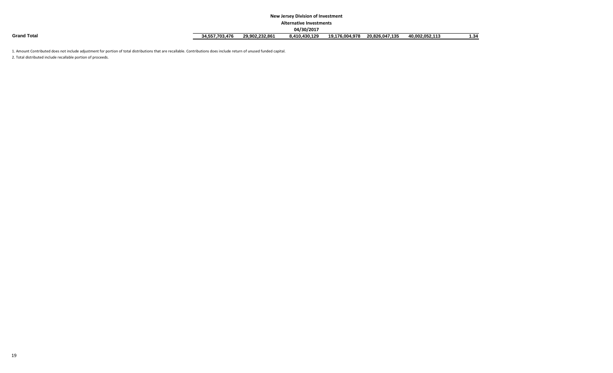#### **New Jersey Division of Investment**

#### **Alternative Investments**

|                    |                |                | 04/30/2017    |                |                |                |      |
|--------------------|----------------|----------------|---------------|----------------|----------------|----------------|------|
| <b>Grand Total</b> | 34.557.703.476 | 29.902.232.861 | 3.410.430.129 | 19.176.004.978 | 20,826,047,135 | 40.002.052.113 | 1.34 |

1. Amount Contributed does not include adjustment for portion of total distributions that are recallable. Contributions does include return of unused funded capital.

2. Total distributed include recallable portion of proceeds.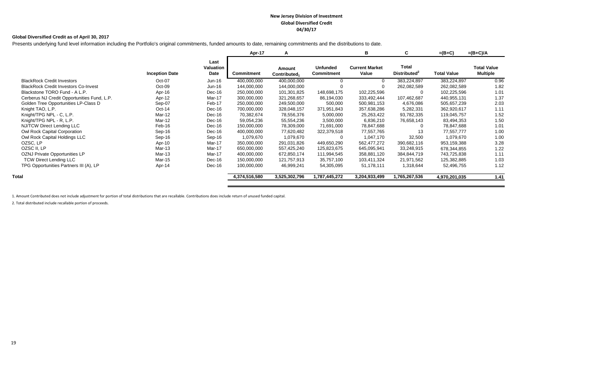#### **New Jersey Division of Investment Global Diversified Credit 04/30/17**

#### **Global Diversified Credit as of April 30, 2017**

Presents underlying fund level information including the Portfolio's original commitments, funded amounts to date, remaining commitments and the distributions to date.

|                       |                           | Apr-17            | A                                  |                                      | в                              | C                                        | $=(B+C)$           | $=(B+C)/A$                                                                                                                                                                                                                                              |
|-----------------------|---------------------------|-------------------|------------------------------------|--------------------------------------|--------------------------------|------------------------------------------|--------------------|---------------------------------------------------------------------------------------------------------------------------------------------------------------------------------------------------------------------------------------------------------|
| <b>Inception Date</b> | Last<br>Valuation<br>Date | <b>Commitment</b> | Amount<br>Contributed <sub>1</sub> | <b>Unfunded</b><br><b>Commitment</b> | <b>Current Market</b><br>Value | <b>Total</b><br>Distributed <sup>2</sup> | <b>Total Value</b> | <b>Total Value</b><br><b>Multiple</b>                                                                                                                                                                                                                   |
| Oct-07                | Jun-16                    | 400,000,000       | 400,000,000                        |                                      | $\Omega$                       | 383,224,897                              |                    | 0.96                                                                                                                                                                                                                                                    |
| Oct-09                | Jun-16                    | 144,000,000       | 144,000,000                        |                                      |                                | 262,082,589                              |                    | 1.82                                                                                                                                                                                                                                                    |
| Apr-16                | Dec-16                    | 250,000,000       | 101,301,825                        | 148,698,175                          | 102,225,596                    | 0                                        |                    | 1.01                                                                                                                                                                                                                                                    |
| Apr-12                | Mar-17                    | 300,000,000       | 321,268,657                        | 86,194,030                           | 333,492,444                    | 107,462,687                              |                    | 1.37                                                                                                                                                                                                                                                    |
| Sep-07                | Feb-17                    | 250,000,000       | 249,500,000                        | 500,000                              | 500,981,153                    | 4,676,086                                |                    | 2.03                                                                                                                                                                                                                                                    |
| $Oct-14$              | Dec-16                    | 700,000,000       | 328,048,157                        | 371,951,843                          | 357,638,286                    | 5,282,331                                |                    | 1.11                                                                                                                                                                                                                                                    |
| Mar-12                | Dec-16                    | 70,382,674        | 78,556,376                         | 5,000,000                            | 25,263,422                     | 93,782,335                               |                    | 1.52                                                                                                                                                                                                                                                    |
| Mar-12                | Dec-16                    | 59,054,236        | 55,554,236                         | 3,500,000                            | 6,836,210                      | 76,658,143                               |                    | 1.50                                                                                                                                                                                                                                                    |
| Feb-16                | Dec-16                    | 150,000,000       | 78,309,000                         | 71,691,000                           | 78,847,688                     | 0                                        |                    | 1.01                                                                                                                                                                                                                                                    |
| Sep-16                | Dec-16                    | 400,000,000       | 77,620,482                         | 322,379,518                          | 77,557,765                     | 13                                       |                    | 1.00                                                                                                                                                                                                                                                    |
| Sep-16                | Sep-16                    | 1,079,670         | 1,079,670                          |                                      | 1,047,170                      | 32,500                                   |                    | 1.00                                                                                                                                                                                                                                                    |
| Apr-10                | Mar-17                    | 350,000,000       | 291,031,826                        | 449,650,290                          | 562,477,272                    | 390,682,116                              |                    | 3.28                                                                                                                                                                                                                                                    |
| Mar-13                | Mar-17                    | 650,000,000       | 557,425,240                        | 125,823,675                          | 645,095,941                    | 33,248,915                               |                    | 1.22                                                                                                                                                                                                                                                    |
| Mar-13                | Mar-17                    | 400,000,000       | 672,850,174                        | 111,994,545                          | 358,881,120                    | 384,844,719                              |                    | 1.11                                                                                                                                                                                                                                                    |
| Mar-15                | Dec-16                    | 150,000,000       | 121,757,913                        | 35,757,100                           | 103,411,324                    | 21,971,562                               |                    | 1.03                                                                                                                                                                                                                                                    |
| Apr-14                | Dec-16                    | 100,000,000       | 46,999,241                         | 54,305,095                           | 51,178,111                     | 1,318,644                                |                    | 1.12                                                                                                                                                                                                                                                    |
|                       |                           | 4,374,516,580     | 3,525,302,796                      | 1,787,445,272                        | 3,204,933,499                  | 1,765,267,536                            |                    | 1.41                                                                                                                                                                                                                                                    |
|                       |                           |                   |                                    |                                      |                                |                                          |                    | 383,224,897<br>262,082,589<br>102,225,596<br>440,955,131<br>505,657,239<br>362,920,617<br>119,045,757<br>83,494,353<br>78,847,688<br>77,557,777<br>1,079,670<br>953,159,388<br>678,344,855<br>743,725,838<br>125,382,885<br>52,496,755<br>4,970,201,035 |

1. Amount Contributed does not include adjustment for portion of total distributions that are recallable. Contributions does include return of unused funded capital.

2. Total distributed include recallable portion of proceeds.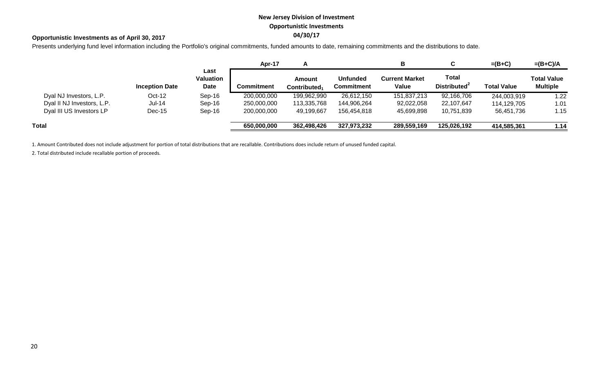# **New Jersey Division of Investment Opportunistic Investments**

# **04/30/17 Opportunistic Investments as of April 30, 2017**

Presents underlying fund level information including the Portfolio's original commitments, funded amounts to date, remaining commitments and the distributions to date.

|                            |                       |                           | Apr-17      |                                    |                                      | в                              |                                          | $=(B+C)$           | $=(B+C)/A$                            |
|----------------------------|-----------------------|---------------------------|-------------|------------------------------------|--------------------------------------|--------------------------------|------------------------------------------|--------------------|---------------------------------------|
|                            | <b>Inception Date</b> | Last<br>Valuation<br>Date | Commitment  | Amount<br>Contributed <sub>1</sub> | <b>Unfunded</b><br><b>Commitment</b> | <b>Current Market</b><br>Value | <b>Total</b><br>Distributed <sup>2</sup> | <b>Total Value</b> | <b>Total Value</b><br><b>Multiple</b> |
| Dyal NJ Investors, L.P.    | $Oct-12$              | Sep-16                    | 200,000,000 | 199,962,990                        | 26,612,150                           | 151,837,213                    | 92,166,706                               | 244,003,919        | 1.22                                  |
| Dyal II NJ Investors, L.P. | <b>Jul-14</b>         | Sep-16                    | 250,000,000 | 113,335,768                        | 144,906,264                          | 92,022,058                     | 22,107,647                               | 114,129,705        | 1.01                                  |
| Dyal III US Investors LP   | $Dec-15$              | Sep-16                    | 200,000,000 | 49,199,667                         | 156,454,818                          | 45,699,898                     | 10,751,839                               | 56,451,736         | 1.15                                  |
| Total                      |                       |                           | 650,000,000 | 362,498,426                        | 327,973,232                          | 289,559,169                    | 125,026,192                              | 414,585,361        | 1.14                                  |

1. Amount Contributed does not include adjustment for portion of total distributions that are recallable. Contributions does include return of unused funded capital.

2. Total distributed include recallable portion of proceeds.